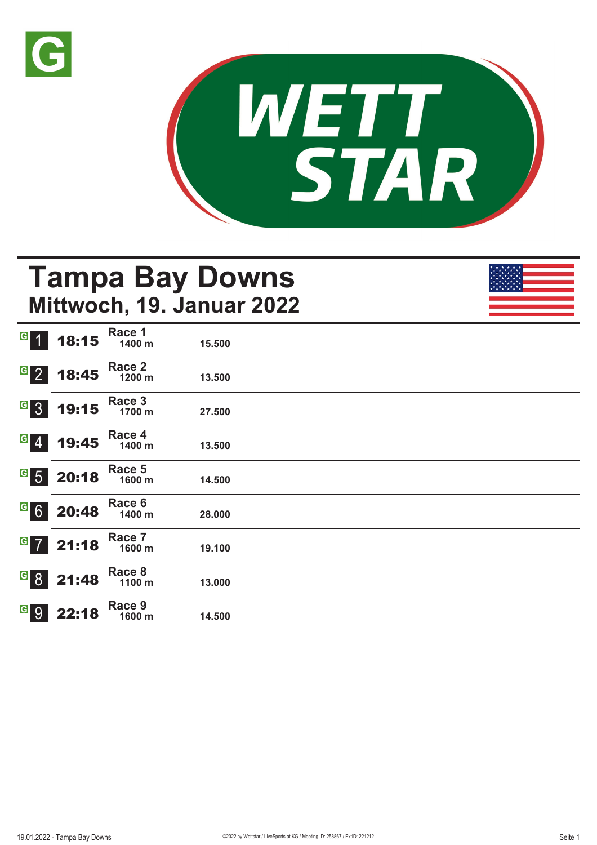



# **Tampa Bay Downs Mittwoch, 19. Januar 2022**

|                                     | $G$ 1 18:15 | Race 1<br>1400 m | 15.500 |  |
|-------------------------------------|-------------|------------------|--------|--|
| $G$ 2                               | 18:45       | Race 2<br>1200 m | 13.500 |  |
| G 3                                 | 19:15       | Race 3<br>1700 m | 27.500 |  |
| $ G $ $\overline{A}$ $\overline{A}$ | 19:45       | Race 4<br>1400 m | 13.500 |  |
|                                     | $G$ 5 20:18 | Race 5<br>1600 m | 14.500 |  |
|                                     | 620:48      | Race 6<br>1400 m | 28.000 |  |
| $G$ 7                               | 21:18       | Race 7<br>1600 m | 19.100 |  |
| $\overline{G}$ 8                    | 21:48       | Race 8<br>1100 m | 13.000 |  |
| G 9                                 | 22:18       | Race 9<br>1600 m | 14.500 |  |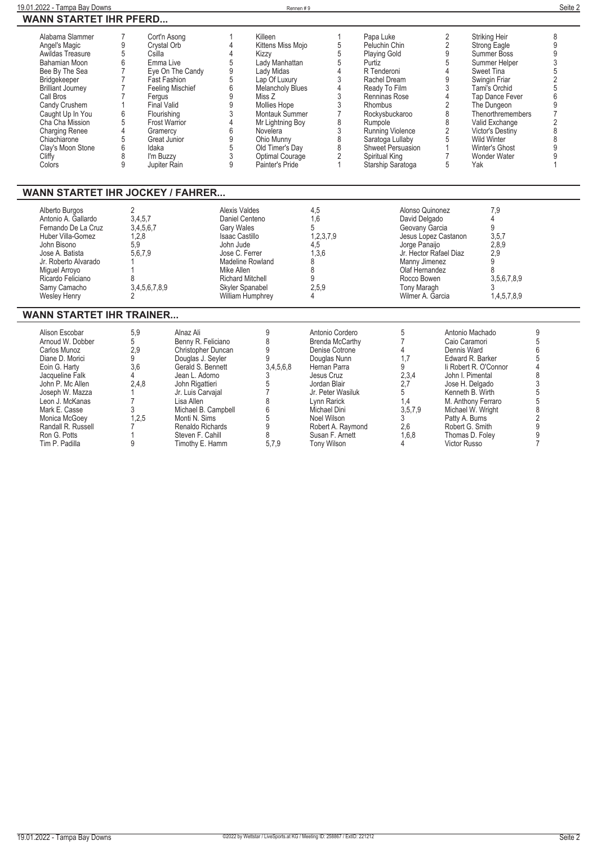| 19.01.2022 - Tampa Bay Downs                                                                                                                                                                                                                                                               |                                                                                                      |                                                                                                                                                                                                                                                                   |                                                                                                                                                              | Rennen #9                                                                                                                                                                                                                                                            |                                                                                                                                         |                                                                                                                                                                                                                                                                          |                                                                                                                                             |                                                                                                                                                                                                                                                                                  | Seite 2                                                                                                   |
|--------------------------------------------------------------------------------------------------------------------------------------------------------------------------------------------------------------------------------------------------------------------------------------------|------------------------------------------------------------------------------------------------------|-------------------------------------------------------------------------------------------------------------------------------------------------------------------------------------------------------------------------------------------------------------------|--------------------------------------------------------------------------------------------------------------------------------------------------------------|----------------------------------------------------------------------------------------------------------------------------------------------------------------------------------------------------------------------------------------------------------------------|-----------------------------------------------------------------------------------------------------------------------------------------|--------------------------------------------------------------------------------------------------------------------------------------------------------------------------------------------------------------------------------------------------------------------------|---------------------------------------------------------------------------------------------------------------------------------------------|----------------------------------------------------------------------------------------------------------------------------------------------------------------------------------------------------------------------------------------------------------------------------------|-----------------------------------------------------------------------------------------------------------|
| <b>WANN STARTET IHR PFERD</b>                                                                                                                                                                                                                                                              |                                                                                                      |                                                                                                                                                                                                                                                                   |                                                                                                                                                              |                                                                                                                                                                                                                                                                      |                                                                                                                                         |                                                                                                                                                                                                                                                                          |                                                                                                                                             |                                                                                                                                                                                                                                                                                  |                                                                                                           |
| Alabama Slammer<br>Angel's Magic<br>Awildas Treasure<br>Bahamian Moon<br>Bee By The Sea<br>Bridgekeeper<br><b>Brilliant Journey</b><br>Call Bros<br>Candy Crushem<br>Caught Up In You<br>Cha Cha Mission<br><b>Charging Renee</b><br>Chiachiarone<br>Clay's Moon Stone<br>Cliffy<br>Colors | 9<br>5<br>6<br>$\overline{7}$<br>$\overline{7}$<br>1<br>6<br>5<br>$\overline{4}$<br>5<br>6<br>8<br>9 | Cort'n Asong<br>Crystal Orb<br>Csilla<br>Emma Live<br>Eye On The Candy<br><b>Fast Fashion</b><br><b>Feeling Mischief</b><br>Fergus<br><b>Final Valid</b><br>Flourishing<br><b>Frost Warrior</b><br>Gramercy<br>Great Junior<br>Idaka<br>I'm Buzzy<br>Jupiter Rain | $\overline{\mathcal{A}}$<br>$\overline{4}$<br>5<br>9<br>5<br>6<br>9<br>$\mathsf{g}$<br>3<br>$\overline{4}$<br>$6\phantom{a}$<br>9<br>5<br>3<br>9             | Killeen<br>Kittens Miss Mojo<br>Kizzy<br>Lady Manhattan<br>Lady Midas<br>Lap Of Luxury<br><b>Melancholy Blues</b><br>Miss Z<br>Mollies Hope<br>Montauk Summer<br>Mr Lightning Boy<br>Novelera<br>Ohio Munny<br>Old Timer's Day<br>Optimal Courage<br>Painter's Pride | 1<br>5<br>$\overline{5}$<br>5<br>$\overline{4}$<br>3<br>4<br>3<br>$\frac{3}{7}$<br>8<br>3<br>8<br>8<br>$\overline{2}$<br>1              | Papa Luke<br>Peluchin Chin<br><b>Playing Gold</b><br>Purtiz<br>R Tenderoni<br>Rachel Dream<br>Ready To Film<br>Renninas Rose<br>Rhombus<br>Rockysbuckaroo<br>Rumpole<br>Running Violence<br>Saratoga Lullaby<br>Shweet Persuasion<br>Spiritual King<br>Starship Saratoga | 2<br>$\overline{2}$<br>9<br>5<br>$\overline{4}$<br>9<br>3<br>4<br>$\overline{2}$<br>8<br>8<br>2<br>5<br>$\mathbf{1}$<br>$\overline{7}$<br>5 | Striking Heir<br>Strong Eagle<br>Summer Boss<br>Summer Helper<br>Sweet Tina<br>Swingin Friar<br>Tami's Orchid<br><b>Tap Dance Fever</b><br>The Dungeon<br>Thenorthremembers<br>Valid Exchange<br>Victor's Destiny<br><b>Wild Winter</b><br>Winter's Ghost<br>Wonder Water<br>Yak | 8<br>9<br>9<br>3<br>5<br>$\overline{2}$<br>6<br>9<br>$\overline{7}$<br>$\overline{2}$<br>8<br>8<br>9<br>9 |
| <b>WANN STARTET IHR JOCKEY / FAHRER</b>                                                                                                                                                                                                                                                    |                                                                                                      |                                                                                                                                                                                                                                                                   |                                                                                                                                                              |                                                                                                                                                                                                                                                                      |                                                                                                                                         |                                                                                                                                                                                                                                                                          |                                                                                                                                             |                                                                                                                                                                                                                                                                                  |                                                                                                           |
| Alberto Burgos<br>Antonio A. Gallardo<br>Fernando De La Cruz<br>Huber Villa-Gomez<br>John Bisono<br>Jose A. Batista<br>Jr. Roberto Alvarado<br>Miquel Arroyo<br>Ricardo Feliciano<br>Samy Camacho<br>Wesley Henry                                                                          | 2<br>3.4.5.7<br>1,2,8<br>5.9<br>5,6,7,9<br>$\mathsf{R}$<br>$\mathfrak{p}$                            | 3,4,5,6,7<br>3,4,5,6,7,8,9                                                                                                                                                                                                                                        | <b>Alexis Valdes</b><br>Daniel Centeno<br><b>Gary Wales</b><br><b>Isaac Castillo</b><br>John Jude<br>Jose C. Ferrer<br>Mike Allen<br><b>Richard Mitchell</b> | Madeline Rowland<br>Skyler Spanabel<br>William Humphrey                                                                                                                                                                                                              | 4,5<br>1.6<br>5<br>1,2,3,7,9<br>4,5<br>1,3,6<br>8<br>8<br>9<br>2,5,9<br>4                                                               | Alonso Quinonez<br>David Delgado<br>Geovany Garcia<br>Jorge Panaiio<br>Manny Jimenez<br>Olaf Hernandez<br>Rocco Bowen<br>Tony Maragh<br>Wilmer A. Garcia                                                                                                                 | Jesus Lopez Castanon<br>Jr. Hector Rafael Diaz                                                                                              | 7,9<br>$\overline{4}$<br>9<br>3,5,7<br>2,8,9<br>2,9<br>9<br>8<br>3,5,6,7,8,9<br>3<br>1,4,5,7,8,9                                                                                                                                                                                 |                                                                                                           |
| <b>WANN STARTET IHR TRAINER</b>                                                                                                                                                                                                                                                            |                                                                                                      |                                                                                                                                                                                                                                                                   |                                                                                                                                                              |                                                                                                                                                                                                                                                                      |                                                                                                                                         |                                                                                                                                                                                                                                                                          |                                                                                                                                             |                                                                                                                                                                                                                                                                                  |                                                                                                           |
| Alison Escobar<br>Arnoud W. Dobber<br>Carlos Munoz<br>Diane D. Morici<br>Eoin G. Harty<br>Jacqueline Falk<br>John P. Mc Allen<br>Joseph W. Mazza                                                                                                                                           | 5,9<br>5<br>2.9<br>9<br>3.6<br>4<br>2.4.8<br>1                                                       | Alnaz Ali<br>Benny R. Feliciano<br>Christopher Duncan<br>Douglas J. Seyler<br>Gerald S. Bennett<br>Jean L. Adorno<br>John Rigattieri<br>Jr. Luis Carvajal                                                                                                         |                                                                                                                                                              | 9<br>8<br>9<br>9<br>3,4,5,6,8<br>3<br>5<br>$\overline{7}$                                                                                                                                                                                                            | Antonio Cordero<br>Brenda McCarthy<br>Denise Cotrone<br>Douglas Nunn<br>Hernan Parra<br>Jesus Cruz<br>Jordan Blair<br>Jr. Peter Wasiluk | 5<br>$\overline{7}$<br>4<br>1.7<br>9<br>2,3,4<br>2,7<br>5                                                                                                                                                                                                                | Dennis Ward                                                                                                                                 | Antonio Machado<br>Caio Caramori<br>Edward R. Barker<br>li Robert R. O'Connor<br>John I. Pimental<br>Jose H. Delgado<br>Kenneth B. Wirth                                                                                                                                         | 9<br>5<br>6<br>5<br>4<br>8<br>3<br>5                                                                      |

**Leon J. McKanas 7 Lisa Allen 8 Lynn Rarick 1,4 M. Anthony Ferraro 5 Mark E. Casse 3 Michael B. Campbell 6 Michael Dini 3,5,7,9 Michael W. Wright 8 Monica McGoey 1,2,5 Monti N. Sims 5 Noel Wilson 3 Patty A. Burns 2 Randall R. Russell 7 Renaldo Richards 9 Robert A. Raymond 2,6 Robert G. Smith 9 Ron G. Potts 1 Steven F. Cahill 8 Susan F. Arnett 1,6,8 Thomas D. Foley 9 Tim P. Padilla 9 Timothy E. Hamm 5,7,9 Tony Wilson 4 Victor Russo 7**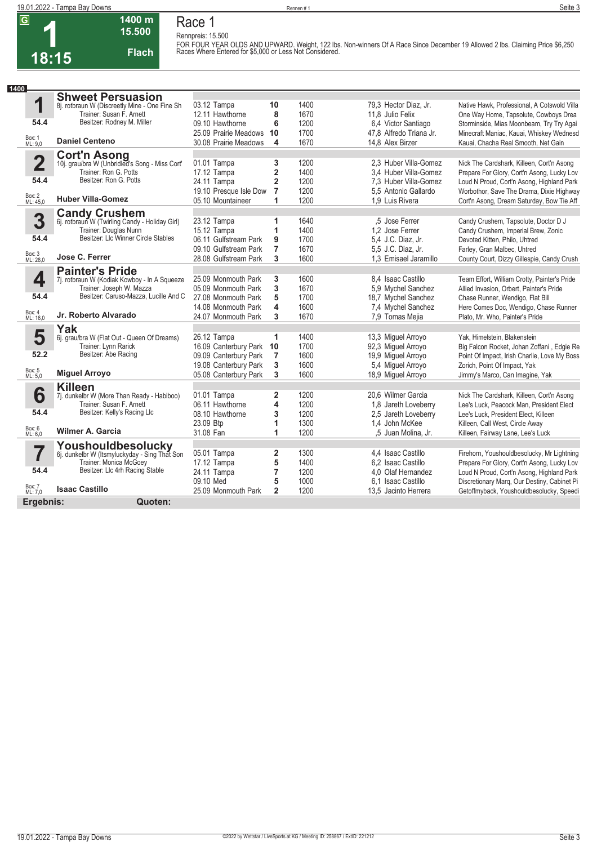**1400 m 15.500** 

**Flach**

**1 18:15**

**Race 1 Rennpreis: 15.500**

**FOR FOUR YEAR OLDS AND UPWARD. Weight, 122 lbs. Non-winners Of A Race Since December 19 Allowed 2 lbs. Claiming Price \$6,250 Races Where Entered for \$5,000 or Less Not Considered.** 

| 1400                    |                                                                         |                        |                         |              |                         |                                              |
|-------------------------|-------------------------------------------------------------------------|------------------------|-------------------------|--------------|-------------------------|----------------------------------------------|
|                         | <b>Shweet Persuasion</b>                                                |                        |                         |              |                         |                                              |
| 1                       | 8j. rotbraun W (Discreetly Mine - One Fine Sh                           | 03.12 Tampa            | 10                      | 1400         | 79,3 Hector Diaz, Jr.   | Native Hawk, Professional, A Cotswold Villa  |
|                         | Trainer: Susan F. Arnett                                                | 12.11 Hawthorne        | 8                       | 1670         | 11,8 Julio Felix        | One Way Home, Tapsolute, Cowboys Drea        |
| 54.4                    | Besitzer: Rodney M. Miller                                              | 09.10 Hawthorne        | 6                       | 1200         | 6.4 Victor Santiago     | Storminside, Mias Moonbeam, Try Try Agai     |
|                         |                                                                         | 25.09 Prairie Meadows  | 10                      | 1700         | 47,8 Alfredo Triana Jr. | Minecraft Maniac, Kauai, Whiskey Wednesd     |
| Box: 1<br>ML: 9,0       | <b>Daniel Centeno</b>                                                   | 30.08 Prairie Meadows  | 4                       | 1670         | 14.8 Alex Birzer        | Kauai, Chacha Real Smooth, Net Gain          |
|                         | <b>Cort'n Asong</b><br>10j. grau/bra W (Unbridled's Song - Miss Cort'   |                        |                         |              |                         |                                              |
| $\overline{\mathbf{2}}$ |                                                                         | 01.01 Tampa            | 3                       | 1200         | 2.3 Huber Villa-Gomez   | Nick The Cardshark, Killeen, Cort'n Asong    |
|                         | Trainer: Ron G. Potts                                                   | 17.12 Tampa            | $\overline{\mathbf{2}}$ | 1400         | 3.4 Huber Villa-Gomez   | Prepare For Glory, Cort'n Asong, Lucky Lov   |
| 54.4                    | Besitzer: Ron G. Potts                                                  | 24.11 Tampa            | $\overline{2}$          | 1200         | 7.3 Huber Villa-Gomez   | Loud N Proud, Cort'n Asong, Highland Park    |
|                         |                                                                         | 19.10 Presque Isle Dow | $\overline{7}$          | 1200         | 5.5 Antonio Gallardo    | Worbothor, Save The Drama, Dixie Highway     |
| Box: 2<br>ML: 45,0      | <b>Huber Villa-Gomez</b>                                                | 05.10 Mountaineer      | 1                       | 1200         | 1.9 Luis Rivera         | Cort'n Asong, Dream Saturday, Bow Tie Aff    |
|                         | <b>Candy Crushem</b><br>6j. rotbraun W (Twirling Candy - Holiday Girl)  |                        |                         |              |                         |                                              |
| 3                       |                                                                         | 23.12 Tampa            | 1                       | 1640         | .5 Jose Ferrer          | Candy Crushem, Tapsolute, Doctor D J         |
|                         | Trainer: Douglas Nunn<br>Besitzer: Llc Winner Circle Stables            | 15.12 Tampa            | 1                       | 1400         | 1.2 Jose Ferrer         | Candy Crushem, Imperial Brew, Zonic          |
| 54.4                    |                                                                         | 06.11 Gulfstream Park  | 9                       | 1700         | 5.4 J.C. Diaz, Jr.      | Devoted Kitten, Philo, Uhtred                |
|                         | Jose C. Ferrer                                                          | 09.10 Gulfstream Park  | $\overline{7}$          | 1670         | 5.5 J.C. Diaz, Jr.      | Farley, Gran Malbec, Uhtred                  |
| Box: 3<br>ML: 28,0      |                                                                         | 28.08 Gulfstream Park  | 3                       | 1600         | 1.3 Emisael Jaramillo   | County Court, Dizzy Gillespie, Candy Crush   |
|                         | <b>Painter's Pride</b>                                                  |                        |                         |              |                         |                                              |
| 4                       | 7j. rotbraun W (Kodiak Kowboy - In A Squeeze                            | 25.09 Monmouth Park    | 3                       | 1600         | 8.4 Isaac Castillo      | Team Effort, William Crotty, Painter's Pride |
|                         | Trainer: Joseph W. Mazza                                                | 05.09 Monmouth Park    | 3                       | 1670         | 5.9 Mychel Sanchez      | Allied Invasion, Orbert, Painter's Pride     |
| 54.4                    | Besitzer: Caruso-Mazza, Lucille And C                                   | 27.08 Monmouth Park    | 5                       | 1700         | 18,7 Mychel Sanchez     | Chase Runner, Wendigo, Flat Bill             |
| Box: 4                  |                                                                         | 14.08 Monmouth Park    | 4                       | 1600         | 7,4 Mychel Sanchez      | Here Comes Doc, Wendigo, Chase Runner        |
| ML: 16,0                | Jr. Roberto Alvarado                                                    | 24.07 Monmouth Park    | 3                       | 1670         | 7,9 Tomas Mejia         | Plato, Mr. Who, Painter's Pride              |
|                         | Yak                                                                     |                        |                         |              |                         |                                              |
| 5                       | 6j. grau/bra W (Flat Out - Queen Of Dreams)                             | 26.12 Tampa            | 1                       | 1400         | 13,3 Miguel Arroyo      | Yak, Himelstein, Blakenstein                 |
| 52.2                    | Trainer: Lynn Rarick<br>Besitzer: Abe Racing                            | 16.09 Canterbury Park  | 10                      | 1700         | 92,3 Miguel Arroyo      | Big Falcon Rocket, Johan Zoffani, Edgie Re   |
|                         |                                                                         | 09.09 Canterbury Park  | 7                       | 1600         | 19,9 Miquel Arroyo      | Point Of Impact, Irish Charlie, Love My Boss |
| Box: 5<br>ML: 5,0       | <b>Miguel Arroyo</b>                                                    | 19.08 Canterbury Park  | 3                       | 1600         | 5.4 Miquel Arroyo       | Zorich, Point Of Impact, Yak                 |
|                         |                                                                         | 05.08 Canterbury Park  | 3                       | 1600         | 18,9 Miquel Arroyo      | Jimmy's Marco, Can Imagine, Yak              |
|                         | <b>Killeen</b>                                                          |                        |                         |              |                         |                                              |
| 6                       | 7j. dunkelbr W (More Than Ready - Habiboo)<br>Trainer: Susan F. Arnett  | 01.01 Tampa            | $\overline{2}$          | 1200         | 20.6 Wilmer Garcia      | Nick The Cardshark, Killeen, Cort'n Asong    |
| 54.4                    | Besitzer: Kelly's Racing Llc                                            | 06.11 Hawthorne        | $\overline{\mathbf{4}}$ | 1200<br>1200 | 1.8 Jareth Loveberry    | Lee's Luck, Peacock Man, President Elect     |
|                         |                                                                         | 08.10 Hawthorne        | 3                       |              | 2,5 Jareth Loveberry    | Lee's Luck, President Elect, Killeen         |
| Box: 6<br>ML: 6,0       | <b>Wilmer A. Garcia</b>                                                 | 23.09 Btp<br>31.08 Fan | 1<br>1                  | 1300<br>1200 | 1.4 John McKee          | Killeen, Call West, Circle Away              |
|                         |                                                                         |                        |                         |              | ,5 Juan Molina, Jr.     | Killeen, Fairway Lane, Lee's Luck            |
|                         | Youshouldbesolucky                                                      |                        |                         |              |                         |                                              |
| 7                       | 6j. dunkelbr W (Itsmyluckyday - Sing That Son<br>Trainer: Monica McGoey | 05.01 Tampa            | $\overline{\mathbf{2}}$ | 1300<br>1400 | 4,4 Isaac Castillo      | Firehorn, Youshouldbesolucky, Mr Lightning   |
| 54.4                    | Besitzer: Llc 4rh Racing Stable                                         | 17.12 Tampa            | 5                       |              | 6.2 Isaac Castillo      | Prepare For Glory, Cort'n Asong, Lucky Lov   |
|                         |                                                                         | 24.11 Tampa            | $\overline{7}$          | 1200         | 4.0 Olaf Hernandez      | Loud N Proud, Cort'n Asong, Highland Park    |
| Box: 7<br>ML: 7,0       | <b>Isaac Castillo</b>                                                   | 09.10 Med              | 5<br>$\overline{2}$     | 1000<br>1200 | 6.1 Isaac Castillo      | Discretionary Marq, Our Destiny, Cabinet Pi  |
|                         |                                                                         | 25.09 Monmouth Park    |                         |              | 13,5 Jacinto Herrera    | Getoffmyback, Youshouldbesolucky, Speedi     |
| Ergebnis:               | Quoten:                                                                 |                        |                         |              |                         |                                              |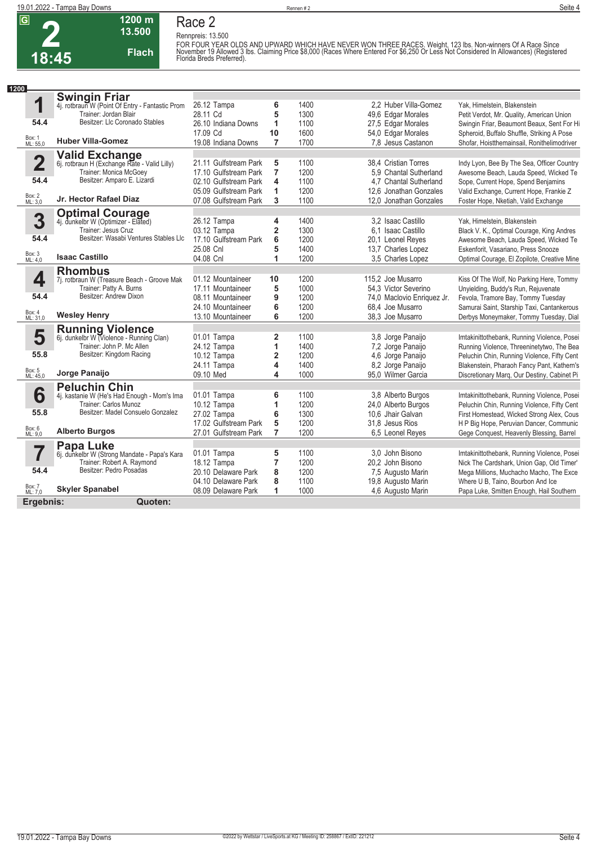**2 18:45** **Race 2 Rennpreis: 13.500**



**1200 m**

FOR FOUR YEAR OLDS AND UPWARD WHICH HAVE NEVER WON THREE RACES. Weight, 123 lbs. Non-winners Of A Race Since<br>November 19 Allowed 3 lbs. Claiming Price \$8,000 (Races Where Entered For \$6,250 Or Less Not Considered In Allowa

| 1200                    |                                                                            |                            |                              |              |                                          |                                                                                          |
|-------------------------|----------------------------------------------------------------------------|----------------------------|------------------------------|--------------|------------------------------------------|------------------------------------------------------------------------------------------|
|                         | <b>Swingin Friar</b><br>4j. rotbraun W (Point Of Entry - Fantastic Prom    |                            |                              |              |                                          |                                                                                          |
| 1                       |                                                                            | 26.12 Tampa                | 6                            | 1400         | 2.2 Huber Villa-Gomez                    | Yak, Himelstein, Blakenstein                                                             |
|                         | Trainer: Jordan Blair                                                      | 28.11 Cd                   | 5                            | 1300         | 49,6 Edgar Morales                       | Petit Verdot, Mr. Quality, American Union                                                |
| 54.4                    | Besitzer: Llc Coronado Stables                                             | 26.10 Indiana Downs        | 1                            | 1100         | 27,5 Edgar Morales                       | Swingin Friar, Beaumont Beaux, Sent For Hi                                               |
|                         |                                                                            | 17.09 Cd                   | 10                           | 1600         | 54,0 Edgar Morales                       | Spheroid, Buffalo Shuffle, Striking A Pose                                               |
| Box: 1<br>ML: 55,0      | <b>Huber Villa-Gomez</b>                                                   | 19.08 Indiana Downs        | $\overline{7}$               | 1700         | 7.8 Jesus Castanon                       | Shofar, Hoistthemainsail, Ronithelimodriver                                              |
|                         | <b>Valid Exchange</b>                                                      |                            |                              |              |                                          |                                                                                          |
| $\overline{\mathbf{2}}$ | 6j. rotbraun H (Exchange Rate - Valid Lilly)<br>Trainer: Monica McGoey     | 21.11 Gulfstream Park      | 5                            | 1100         | 38,4 Cristian Torres                     | Indy Lyon, Bee By The Sea, Officer Country                                               |
|                         |                                                                            | 17.10 Gulfstream Park      | $\overline{7}$               | 1200         | 5.9 Chantal Sutherland                   | Awesome Beach, Lauda Speed, Wicked Te                                                    |
| 54.4                    | Besitzer: Amparo E. Lizardi                                                | 02.10 Gulfstream Park      | 4                            | 1100         | 4.7 Chantal Sutherland                   | Sope, Current Hope, Spend Benjamins                                                      |
|                         |                                                                            | 05.09 Gulfstream Park      | 1                            | 1200         | 12.6 Jonathan Gonzales                   | Valid Exchange, Current Hope, Frankie Z                                                  |
| Box: 2<br>ML: 3,0       | Jr. Hector Rafael Diaz                                                     | 07.08 Gulfstream Park      | 3                            | 1100         | 12.0 Jonathan Gonzales                   | Foster Hope, Nketiah, Valid Exchange                                                     |
|                         | <b>Optimal Courage</b><br>4j. dunkelbr W (Optimizer - Elated)              |                            |                              |              |                                          |                                                                                          |
| 3                       |                                                                            | 26.12 Tampa                | 4                            | 1400         | 3.2 Isaac Castillo                       | Yak, Himelstein, Blakenstein                                                             |
| 54.4                    | Trainer: Jesus Cruz<br>Besitzer: Wasabi Ventures Stables Llc               | 03.12 Tampa                | $\overline{\mathbf{2}}$      | 1300         | 6.1 Isaac Castillo                       | Black V. K., Optimal Courage, King Andres                                                |
|                         |                                                                            | 17.10 Gulfstream Park      | 6                            | 1200         | 20,1 Leonel Reves                        | Awesome Beach, Lauda Speed, Wicked Te                                                    |
| Box: 3<br>ML: 4,0       | <b>Isaac Castillo</b>                                                      | 25.08 Cnl                  | 5                            | 1400         | 13,7 Charles Lopez                       | Eskenforit, Vasariano, Press Snooze                                                      |
|                         |                                                                            | 04.08 Cnl                  | 1                            | 1200         | 3,5 Charles Lopez                        | Optimal Courage, El Zopilote, Creative Mine                                              |
|                         | <b>Rhombus</b>                                                             |                            |                              |              |                                          |                                                                                          |
| 4                       | 7j. rotbraun W (Treasure Beach - Groove Mak                                | 01.12 Mountaineer          | 10                           | 1200         | 115.2 Joe Musarro                        | Kiss Of The Wolf, No Parking Here, Tommy                                                 |
| 54.4                    | Trainer: Patty A. Burns<br>Besitzer: Andrew Dixon                          | 17.11 Mountaineer          | 5                            | 1000         | 54.3 Victor Severino                     | Unyielding, Buddy's Run, Rejuvenate                                                      |
|                         |                                                                            | 08.11 Mountaineer          | 9                            | 1200         | 74,0 Maclovio Enriquez Jr.               | Fevola, Tramore Bay, Tommy Tuesday                                                       |
| Box: 4<br>ML: 31,0      | <b>Wesley Henry</b>                                                        | 24.10 Mountaineer          | 6                            | 1200         | 68.4 Joe Musarro                         | Samurai Saint, Starship Taxi, Cantankerous                                               |
|                         |                                                                            | 13.10 Mountaineer          | 6                            | 1200         | 38.3 Joe Musarro                         | Derbys Moneymaker, Tommy Tuesday, Dial                                                   |
|                         | <b>Running Violence</b>                                                    |                            |                              |              |                                          |                                                                                          |
| 5                       | 6j. dunkelbr W (Violence - Running Clan)<br>Trainer: John P. Mc Allen      | 01.01 Tampa                | $\overline{\mathbf{2}}$      | 1100         | 3,8 Jorge Panaijo                        | Imtakinittothebank, Running Violence, Posei                                              |
| 55.8                    | Besitzer: Kingdom Racing                                                   | 24.12 Tampa                | 1                            | 1400         | 7,2 Jorge Panaijo                        | Running Violence, Threeninetytwo, The Bea                                                |
|                         |                                                                            | 10.12 Tampa                | $\overline{\mathbf{2}}$      | 1200         | 4,6 Jorge Panaijo                        | Peluchin Chin, Running Violence, Fifty Cent                                              |
| Box: 5<br>ML: 45,0      | Jorge Panaijo                                                              | 24.11 Tampa<br>09.10 Med   | 4<br>$\overline{\mathbf{4}}$ | 1400<br>1000 | 8.2 Jorge Panaijo<br>95.0 Wilmer Garcia  | Blakenstein, Pharaoh Fancy Pant, Kathern's                                               |
|                         |                                                                            |                            |                              |              |                                          | Discretionary Marq, Our Destiny, Cabinet Pi                                              |
|                         | <b>Peluchin Chin</b>                                                       |                            |                              |              |                                          |                                                                                          |
| 6                       | 4j. kastanie W (He's Had Enough - Mom's Ima<br>Trainer: Carlos Munoz       | 01.01 Tampa                | 6                            | 1100         | 3.8 Alberto Burgos                       | Imtakinittothebank, Running Violence, Posei                                              |
| 55.8                    | Besitzer: Madel Consuelo Gonzalez                                          | 10.12 Tampa<br>27.02 Tampa | 1                            | 1200<br>1300 | 24,0 Alberto Burgos<br>10.6 Jhair Galvan | Peluchin Chin, Running Violence, Fifty Cent                                              |
|                         |                                                                            | 17.02 Gulfstream Park      | 6                            |              |                                          | First Homestead, Wicked Strong Alex, Cous                                                |
| Box: 6<br>ML: 9,0       | <b>Alberto Burgos</b>                                                      | 27.01 Gulfstream Park      | 5<br>$\overline{7}$          | 1200<br>1200 | 31,8 Jesus Rios                          | H P Big Hope, Peruvian Dancer, Communic                                                  |
|                         |                                                                            |                            |                              |              | 6.5 Leonel Reves                         | Gege Conquest, Heavenly Blessing, Barrel                                                 |
|                         | Papa Luke                                                                  |                            |                              | 1100         | 3.0 John Bisono                          |                                                                                          |
|                         | 6j. dunkelbr W (Strong Mandate - Papa's Kara<br>Trainer: Robert A. Raymond | 01.01 Tampa<br>18.12 Tampa | 5<br>$\overline{7}$          | 1200         | 20.2 John Bisono                         | Imtakinittothebank, Running Violence, Posei<br>Nick The Cardshark, Union Gap, Old Timer' |
| 54.4                    | Besitzer: Pedro Posadas                                                    | 20.10 Delaware Park        | 8                            | 1200         |                                          |                                                                                          |
|                         |                                                                            | 04.10 Delaware Park        | 8                            | 1100         | 7,5 Augusto Marin                        | Mega Millions, Muchacho Macho, The Exce<br>Where U B, Taino, Bourbon And Ice             |
| Box: 7<br>ML: 7,0       | <b>Skyler Spanabel</b>                                                     | 08.09 Delaware Park        | 1                            | 1000         | 19,8 Augusto Marin<br>4,6 Augusto Marin  |                                                                                          |
|                         |                                                                            |                            |                              |              |                                          | Papa Luke, Smitten Enough, Hail Southern                                                 |
| Ergebnis:               | Quoten:                                                                    |                            |                              |              |                                          |                                                                                          |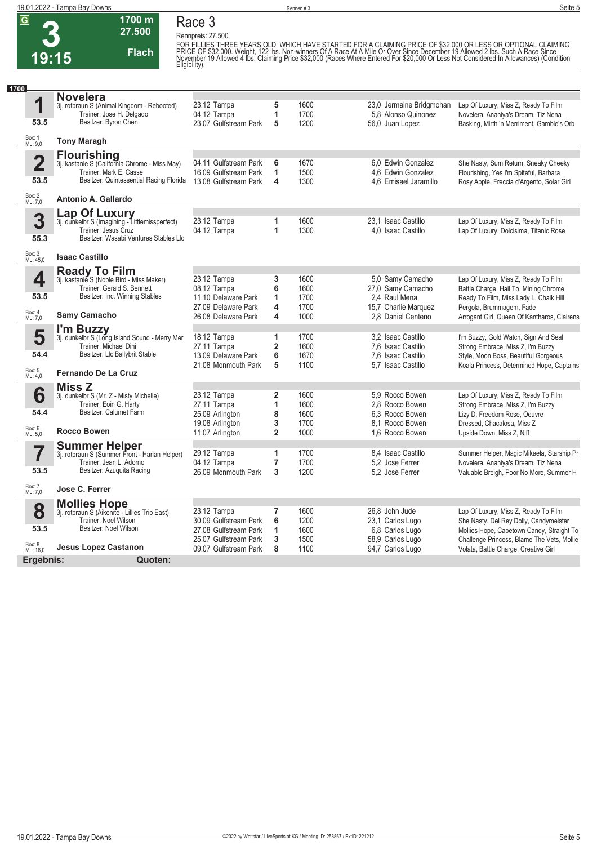

**1700 m 27.500** 

**Flach**

**Rennpreis: 27.500**

FOR FILLIES THREE YEARS OLD WHICH HAVE STARTED FOR A CLAIMING PRICE OF \$32,000 OR LESS OR OPTIONAL CLAIMING<br>PRICE OF \$32,000. Weight, 122 Ibs. Non-winners Of A Race At A Mile Or Over Since December 19 Allowed 2 Ibs. Such

| 1700                    |                                                                                           |                                                |                         |              |                                                 |                                                                                         |
|-------------------------|-------------------------------------------------------------------------------------------|------------------------------------------------|-------------------------|--------------|-------------------------------------------------|-----------------------------------------------------------------------------------------|
| 1                       | <b>Novelera</b><br>3j. rotbraun S (Animal Kingdom - Rebooted)<br>Trainer: Jose H. Delgado | 23.12 Tampa<br>04.12 Tampa                     | 5<br>1                  | 1600<br>1700 | 23,0 Jermaine Bridgmohan<br>5.8 Alonso Quinonez | Lap Of Luxury, Miss Z, Ready To Film<br>Novelera, Anahiya's Dream, Tiz Nena             |
| 53.5                    | Besitzer: Byron Chen                                                                      | 23.07 Gulfstream Park                          | 5                       | 1200         | 56,0 Juan Lopez                                 | Basking, Mirth 'n Merriment, Gamble's Orb                                               |
| Box: 1<br>ML: 9,0       | <b>Tony Maragh</b>                                                                        |                                                |                         |              |                                                 |                                                                                         |
|                         | <b>Flourishing</b>                                                                        |                                                |                         |              |                                                 |                                                                                         |
| $\overline{\mathbf{2}}$ | 3j. kastanie S (California Chrome - Miss May)<br>Trainer: Mark E. Casse                   | 04.11 Gulfstream Park<br>16.09 Gulfstream Park | 6<br>1                  | 1670<br>1500 | 6.0 Edwin Gonzalez<br>4.6 Edwin Gonzalez        | She Nasty, Sum Return, Sneaky Cheeky                                                    |
| 53.5                    | Besitzer: Quintessential Racing Florida                                                   | 13.08 Gulfstream Park                          | 4                       | 1300         | 4.6 Emisael Jaramillo                           | Flourishing, Yes I'm Spiteful, Barbara<br>Rosy Apple, Freccia d'Argento, Solar Girl     |
| Box: 2<br>ML: 7,0       | Antonio A. Gallardo                                                                       |                                                |                         |              |                                                 |                                                                                         |
|                         |                                                                                           |                                                |                         |              |                                                 |                                                                                         |
| 3                       | Lap Of Luxury<br>3j. dunkelbr S (Imagining - Littlemissperfect)                           | 23.12 Tampa                                    | 1                       | 1600         | 23.1 Isaac Castillo                             | Lap Of Luxury, Miss Z, Ready To Film                                                    |
|                         | Trainer: Jesus Cruz                                                                       | 04.12 Tampa                                    | 1                       | 1300         | 4.0 Isaac Castillo                              | Lap Of Luxury, Dolcisima, Titanic Rose                                                  |
| 55.3                    | Besitzer: Wasabi Ventures Stables Llc                                                     |                                                |                         |              |                                                 |                                                                                         |
| Box: 3<br>ML: 45,0      | <b>Isaac Castillo</b>                                                                     |                                                |                         |              |                                                 |                                                                                         |
|                         | <b>Ready To Film</b>                                                                      |                                                |                         |              |                                                 |                                                                                         |
| 4                       | 3j. kastanie S (Noble Bird - Miss Maker)                                                  | 23.12 Tampa                                    | 3                       | 1600         | 5.0 Samy Camacho                                | Lap Of Luxury, Miss Z, Ready To Film                                                    |
|                         | Trainer: Gerald S. Bennett                                                                | 08.12 Tampa                                    | 6                       | 1600         | 27,0 Samy Camacho                               | Battle Charge, Hail To, Mining Chrome                                                   |
| 53.5                    | Besitzer: Inc. Winning Stables                                                            | 11.10 Delaware Park                            | 1                       | 1700         | 2.4 Raul Mena                                   | Ready To Film, Miss Lady L, Chalk Hill                                                  |
| Box: 4<br>ML: 7,0       | Samy Camacho                                                                              | 27.09 Delaware Park<br>26.08 Delaware Park     | 4<br>4                  | 1700<br>1000 | 15,7 Charlie Marguez<br>2.8 Daniel Centeno      | Pergola, Brummagem, Fade<br>Arrogant Girl, Queen Of Kantharos, Clairens                 |
|                         |                                                                                           |                                                |                         |              |                                                 |                                                                                         |
|                         | I'm Buzzy                                                                                 | 18.12 Tampa                                    | 1                       | 1700         | 3.2 Isaac Castillo                              | I'm Buzzy, Gold Watch, Sign And Seal                                                    |
| 5                       | 3j. dunkelbr S (Long Island Sound - Merry Mer<br>Trainer: Michael Dini                    | 27.11 Tampa                                    | $\overline{\mathbf{2}}$ | 1600         | 7.6 Isaac Castillo                              | Strong Embrace, Miss Z, I'm Buzzy                                                       |
| 54.4                    | Besitzer: Llc Ballybrit Stable                                                            | 13.09 Delaware Park                            | 6                       | 1670         | 7.6 Isaac Castillo                              | Style, Moon Boss, Beautiful Gorgeous                                                    |
|                         |                                                                                           | 21.08 Monmouth Park                            | 5                       | 1100         | 5.7 Isaac Castillo                              | Koala Princess, Determined Hope, Captains                                               |
| Box: 5<br>ML: 4,0       | <b>Fernando De La Cruz</b>                                                                |                                                |                         |              |                                                 |                                                                                         |
|                         | <b>Miss Z</b>                                                                             |                                                |                         |              |                                                 |                                                                                         |
| 6                       | 3j. dunkelbr S (Mr. Z - Misty Michelle)                                                   | 23.12 Tampa                                    | $\overline{\mathbf{2}}$ | 1600         | 5.9 Rocco Bowen                                 | Lap Of Luxury, Miss Z, Ready To Film                                                    |
|                         | Trainer: Eoin G. Harty                                                                    | 27.11 Tampa                                    | 1                       | 1600         | 2.8 Rocco Bowen                                 | Strong Embrace, Miss Z, I'm Buzzy                                                       |
| 54.4                    | Besitzer: Calumet Farm                                                                    | 25.09 Arlington                                | 8                       | 1600         | 6.3 Rocco Bowen                                 | Lizy D, Freedom Rose, Oeuvre                                                            |
|                         |                                                                                           | 19.08 Arlington                                | 3                       | 1700         | 8.1 Rocco Bowen                                 | Dressed, Chacalosa, Miss Z                                                              |
| Box: 6<br>ML: 5,0       | <b>Rocco Bowen</b>                                                                        | 11.07 Arlington                                | $\overline{\mathbf{2}}$ | 1000         | 1.6 Rocco Bowen                                 | Upside Down, Miss Z, Niff                                                               |
|                         | <b>Summer Helper</b>                                                                      |                                                |                         |              |                                                 |                                                                                         |
|                         | 3j. rotbraun S (Summer Front - Harlan Helper)                                             | 29.12 Tampa                                    | 1                       | 1700         | 8.4 Isaac Castillo                              | Summer Helper, Magic Mikaela, Starship Pr                                               |
|                         | Trainer: Jean L. Adorno<br>Besitzer: Azuguita Racing                                      | 04.12 Tampa                                    | $\overline{7}$          | 1700         | 5.2 Jose Ferrer                                 | Novelera, Anahiya's Dream, Tiz Nena                                                     |
| 53.5                    |                                                                                           | 26.09 Monmouth Park                            | 3                       | 1200         | 5.2 Jose Ferrer                                 | Valuable Breigh, Poor No More, Summer H                                                 |
| Box: 7<br>ML: 7,0       | Jose C. Ferrer                                                                            |                                                |                         |              |                                                 |                                                                                         |
|                         | <b>Mollies Hope</b><br>3j. rotbraun S (Aikenite - Lillies Trip East)                      |                                                |                         |              |                                                 |                                                                                         |
| 8                       | Trainer: Noel Wilson                                                                      | 23.12 Tampa                                    | 7                       | 1600         | 26,8 John Jude                                  | Lap Of Luxury, Miss Z, Ready To Film                                                    |
| 53.5                    | Besitzer: Noel Wilson                                                                     | 30.09 Gulfstream Park                          | 6                       | 1200         | 23.1 Carlos Lugo                                | She Nasty, Del Rey Dolly, Candymeister                                                  |
|                         |                                                                                           | 27.08 Gulfstream Park<br>25.07 Gulfstream Park | 1<br>3                  | 1600<br>1500 | 6.8 Carlos Lugo<br>58,9 Carlos Lugo             | Mollies Hope, Capetown Candy, Straight To<br>Challenge Princess, Blame The Vets, Mollie |
| Box: 8<br>ML: 16,0      | <b>Jesus Lopez Castanon</b>                                                               | 09.07 Gulfstream Park                          | 8                       | 1100         | 94,7 Carlos Lugo                                | Volata, Battle Charge, Creative Girl                                                    |
|                         |                                                                                           |                                                |                         |              |                                                 |                                                                                         |
| Ergebnis:               | Quoten:                                                                                   |                                                |                         |              |                                                 |                                                                                         |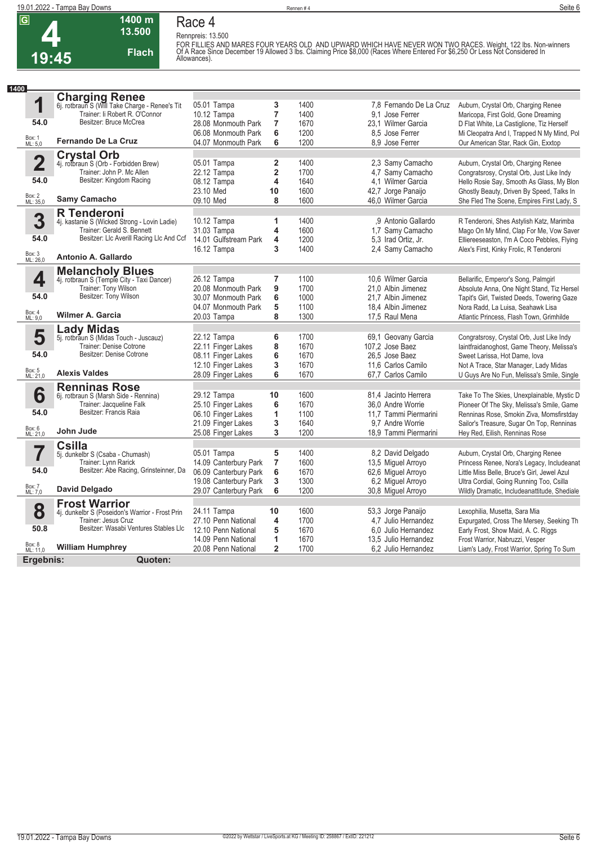

### **Race 4 Rennpreis: 13.500** FOR FILLIES AND<br>Of A Race Since De<br>Allowances).

**1400 m 13.500** 

**Flach**

| FOR FILLIES AND MARES FOUR YEARS OLD  AND UPWARD WHICH HAVE NEVER WON TWO RACES. Weight. 122 lbs. Non-winners<br>Of A Race Since December 19 Allowed 3 lbs. Claiming Price \$8,000 (Races Where Entered For \$6,250 Or Less Not Considered In<br>Allowances). |
|---------------------------------------------------------------------------------------------------------------------------------------------------------------------------------------------------------------------------------------------------------------|
|                                                                                                                                                                                                                                                               |

| 1400               |                                                                         |                       |                         |      |                         |                                              |
|--------------------|-------------------------------------------------------------------------|-----------------------|-------------------------|------|-------------------------|----------------------------------------------|
|                    | <b>Charging Renee</b><br>6j. rotbraun S (Will Take Charge - Renee's Tit |                       |                         |      |                         |                                              |
| 1                  |                                                                         | 05.01 Tampa           | 3                       | 1400 | 7,8 Fernando De La Cruz | Auburn, Crystal Orb, Charging Renee          |
|                    | Trainer: Ii Robert R. O'Connor                                          | 10.12 Tampa           | 7                       | 1400 | 9.1 Jose Ferrer         | Maricopa, First Gold, Gone Dreaming          |
| 54.0               | Besitzer: Bruce McCrea                                                  | 28.08 Monmouth Park   | $\overline{7}$          | 1670 | 23.1 Wilmer Garcia      | D Flat White, La Castiglione, Tiz Herself    |
|                    |                                                                         | 06.08 Monmouth Park   | 6                       | 1200 | 8.5 Jose Ferrer         | Mi Cleopatra And I, Trapped N My Mind, Pol   |
| Box: 1<br>ML: 5,0  | <b>Fernando De La Cruz</b>                                              | 04.07 Monmouth Park   | 6                       | 1200 | 8.9 Jose Ferrer         | Our American Star, Rack Gin, Exxtop          |
|                    | <b>Crystal Orb</b>                                                      |                       |                         |      |                         |                                              |
| $\overline{2}$     | 4j. rotbraun S (Orb - Forbidden Brew)                                   | 05.01 Tampa           | 2                       | 1400 | 2,3 Samy Camacho        | Auburn, Crystal Orb, Charging Renee          |
|                    | Trainer: John P. Mc Allen                                               | 22.12 Tampa           | $\overline{\mathbf{2}}$ | 1700 | 4,7 Samy Camacho        | Congratsrosy, Crystal Orb, Just Like Indy    |
| 54.0               | Besitzer: Kingdom Racing                                                | 08.12 Tampa           | 4                       | 1640 | 4.1 Wilmer Garcia       | Hello Rosie Say, Smooth As Glass, My Blon    |
|                    |                                                                         | 23.10 Med             | 10                      | 1600 | 42,7 Jorge Panaijo      | Ghostly Beauty, Driven By Speed, Talks In    |
| Box: 2<br>ML: 35,0 | Samy Camacho                                                            | 09.10 Med             | 8                       | 1600 | 46.0 Wilmer Garcia      | She Fled The Scene, Empires First Lady, S    |
|                    | <b>R</b> Tenderoni                                                      |                       |                         |      |                         |                                              |
| 3                  | 4j. kastanie S (Wicked Strong - Lovin Ladie)                            | 10.12 Tampa           | 1                       | 1400 | .9 Antonio Gallardo     | R Tenderoni, Shes Astylish Katz, Marimba     |
|                    | Trainer: Gerald S. Bennett                                              | 31.03 Tampa           | 4                       | 1600 | 1.7 Samy Camacho        | Mago On My Mind, Clap For Me, Vow Saver      |
| 54.0               | Besitzer: LIc Averill Racing LIc And Ccf                                | 14.01 Gulfstream Park | 4                       | 1200 | 5.3 Irad Ortiz, Jr.     | Elliereeseaston, I'm A Coco Pebbles, Flying  |
|                    |                                                                         | 16.12 Tampa           | 3                       | 1400 | 2,4 Samy Camacho        | Alex's First, Kinky Frolic, R Tenderoni      |
| Box: 3<br>ML: 26,0 | Antonio A. Gallardo                                                     |                       |                         |      |                         |                                              |
|                    | <b>Melancholy Blues</b>                                                 |                       |                         |      |                         |                                              |
| 4                  | 4j. rotbraun S (Temple City - Taxi Dancer)                              | 26.12 Tampa           | 7                       | 1100 | 10,6 Wilmer Garcia      | Bellarific, Emperor's Song, Palmgirl         |
|                    | Trainer: Tony Wilson                                                    | 20.08 Monmouth Park   | 9                       | 1700 | 21.0 Albin Jimenez      | Absolute Anna, One Night Stand, Tiz Hersel   |
| 54.0               | Besitzer: Tony Wilson                                                   | 30.07 Monmouth Park   | 6                       | 1000 | 21.7 Albin Jimenez      | Tapit's Girl, Twisted Deeds, Towering Gaze   |
|                    |                                                                         | 04.07 Monmouth Park   | 5                       | 1100 | 18.4 Albin Jimenez      | Nora Radd, La Luisa, Seahawk Lisa            |
| Box: 4<br>ML: 9,0  | Wilmer A. Garcia                                                        | 20.03 Tampa           | 8                       | 1300 | 17.5 Raul Mena          | Atlantic Princess, Flash Town, Grimhilde     |
|                    | <b>Lady Midas</b>                                                       |                       |                         |      |                         |                                              |
| 5                  | 5j. rotbraun S (Midas Touch - Juscauz)                                  | 22.12 Tampa           | 6                       | 1700 | 69,1 Geovany Garcia     | Congratsrosy, Crystal Orb, Just Like Indy    |
|                    | Trainer: Denise Cotrone                                                 | 22.11 Finger Lakes    | 8                       | 1670 | 107,2 Jose Baez         | laintfraidanoghost, Game Theory, Melissa's   |
| 54.0               | Besitzer: Denise Cotrone                                                | 08.11 Finger Lakes    | 6                       | 1670 | 26.5 Jose Baez          | Sweet Larissa. Hot Dame, Iova                |
|                    |                                                                         | 12.10 Finger Lakes    | 3                       | 1670 | 11.6 Carlos Camilo      | Not A Trace, Star Manager, Lady Midas        |
| Box: 5<br>ML: 21,0 | <b>Alexis Valdes</b>                                                    | 28.09 Finger Lakes    | 6                       | 1670 | 67,7 Carlos Camilo      | U Guys Are No Fun, Melissa's Smile, Single   |
|                    | <b>Renninas Rose</b>                                                    |                       |                         |      |                         |                                              |
| 6                  | 6j. rotbraun S (Marsh Side - Rennina)                                   | 29.12 Tampa           | 10                      | 1600 | 81,4 Jacinto Herrera    | Take To The Skies, Unexplainable, Mystic D   |
|                    | Trainer: Jacqueline Falk                                                | 25.10 Finger Lakes    | 6                       | 1670 | 36.0 Andre Worrie       | Pioneer Of The Sky, Melissa's Smile, Game    |
| 54.0               | Besitzer: Francis Raia                                                  | 06.10 Finger Lakes    | 1                       | 1100 | 11,7 Tammi Piermarini   | Renninas Rose, Smokin Ziva, Momsfirstday     |
|                    |                                                                         | 21.09 Finger Lakes    | 3                       | 1640 | 9,7 Andre Worrie        | Sailor's Treasure, Sugar On Top, Renninas    |
| Box: 6<br>ML: 21,0 | John Jude                                                               | 25.08 Finger Lakes    | 3                       | 1200 | 18.9 Tammi Piermarini   | Hey Red, Eilish, Renninas Rose               |
|                    | <b>Csilla</b>                                                           |                       |                         |      |                         |                                              |
| 7                  | 5j. dunkelbr S (Csaba - Chumash)                                        | 05.01 Tampa           | 5                       | 1400 | 8.2 David Delgado       | Auburn, Crystal Orb, Charging Renee          |
|                    | Trainer: Lynn Rarick                                                    | 14.09 Canterbury Park | $\overline{7}$          | 1600 | 13,5 Miguel Arroyo      | Princess Renee, Nora's Legacy, Includeanat   |
| 54.0               | Besitzer: Abe Racing, Grinsteinner, Da                                  | 06.09 Canterbury Park | 6                       | 1670 | 62,6 Miguel Arroyo      | Little Miss Belle, Bruce's Girl, Jewel Azul  |
|                    | <b>David Delgado</b>                                                    | 19.08 Canterbury Park | 3                       | 1300 | 6.2 Miquel Arroyo       | Ultra Cordial, Going Running Too, Csilla     |
| Box: 7<br>ML: 7,0  |                                                                         | 29.07 Canterbury Park | 6                       | 1200 | 30,8 Miguel Arroyo      | Wildly Dramatic, Includeanattitude, Shediale |
|                    | <b>Frost Warrior</b>                                                    |                       |                         |      |                         |                                              |
| 8                  | 4j. dunkelbr S (Poseidon's Warrior - Frost Prin                         | 24.11 Tampa           | 10                      | 1600 | 53,3 Jorge Panaijo      | Lexophilia, Musetta, Sara Mia                |
|                    | Trainer: Jesus Cruz<br>Besitzer: Wasabi Ventures Stables Llc            | 27.10 Penn National   | 4                       | 1700 | 4,7 Julio Hernandez     | Expurgated, Cross The Mersey, Seeking Th     |
| 50.8               |                                                                         | 12.10 Penn National   | 5                       | 1670 | 6.0 Julio Hernandez     | Early Frost, Show Maid, A. C. Riggs          |
|                    |                                                                         | 14.09 Penn National   | 1                       | 1670 | 13.5 Julio Hernandez    | Frost Warrior, Nabruzzi, Vesper              |
| Box: 8<br>ML: 11,0 | <b>William Humphrey</b>                                                 | 20.08 Penn National   | $\overline{2}$          | 1700 | 6.2 Julio Hernandez     | Liam's Lady, Frost Warrior, Spring To Sum    |
|                    | Ergebnis:<br>Quoten:                                                    |                       |                         |      |                         |                                              |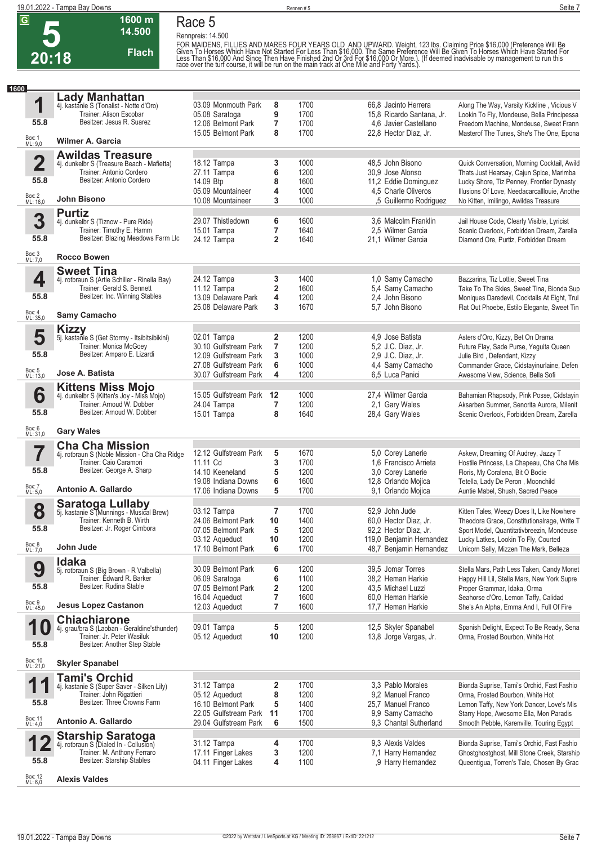

**1600 m 14.500** 

**Flach**

**Rennpreis: 14.500**

FOR MAIDENS, FILLIES AND MARES FOUR YEARS OLD AND UPWARD. Weight, 123 lbs. Claiming Price \$16,000 (Preference Will Be<br>Given To Horses Which Have Not Started For Less Than \$16,000. The Same Preference Will Be Given To Hors

| 1600 |                                 |                                                                                                                                                       |                                                                                                                 |                                         |                                      |                                                                                                                         |                                                                                                                                                                                                                          |
|------|---------------------------------|-------------------------------------------------------------------------------------------------------------------------------------------------------|-----------------------------------------------------------------------------------------------------------------|-----------------------------------------|--------------------------------------|-------------------------------------------------------------------------------------------------------------------------|--------------------------------------------------------------------------------------------------------------------------------------------------------------------------------------------------------------------------|
|      | 1                               | <b>Lady Manhattan</b><br>4j. kastanie S (Tonalist - Notte d'Oro)<br>Trainer: Alison Escobar<br>Besitzer: Jesus R. Suarez                              | 03.09 Monmouth Park<br>05.08 Saratoga                                                                           | 8<br>9                                  | 1700<br>1700                         | 66.8 Jacinto Herrera<br>15.8 Ricardo Santana, Jr.                                                                       | Along The Way, Varsity Kickline, Vicious V<br>Lookin To Fly, Mondeuse, Bella Principessa                                                                                                                                 |
|      | 55.8                            | <b>Wilmer A. Garcia</b>                                                                                                                               | 12.06 Belmont Park<br>15.05 Belmont Park                                                                        | 7<br>8                                  | 1700<br>1700                         | 4.6 Javier Castellano<br>22,8 Hector Diaz, Jr.                                                                          | Freedom Machine, Mondeuse, Sweet Frann<br>Masterof The Tunes, She's The One, Epona                                                                                                                                       |
|      | Box: 1<br>ML: 9,0               |                                                                                                                                                       |                                                                                                                 |                                         |                                      |                                                                                                                         |                                                                                                                                                                                                                          |
|      | $\overline{\mathbf{2}}$<br>55.8 | <b>Awildas Treasure</b><br>4j. dunkelbr S (Treasure Beach - Mafietta)<br>Trainer: Antonio Cordero<br>Besitzer: Antonio Cordero                        | 18.12 Tampa<br>27.11 Tampa<br>14.09 Btp<br>05.09 Mountaineer                                                    | 3<br>6<br>8<br>4                        | 1000<br>1200<br>1600<br>1000         | 48,5 John Bisono<br>30,9 Jose Alonso<br>11,2 Eddie Dominguez<br>4.5 Charle Oliveros                                     | Quick Conversation, Morning Cocktail, Awild<br>Thats Just Hearsay, Cajun Spice, Marimba<br>Lucky Shore, Tiz Penney, Frontier Dynasty<br>Illusions Of Love, Needacarcalllouie, Anothe                                     |
|      | Box: 2<br>ML: 16,0              | John Bisono                                                                                                                                           | 10.08 Mountaineer                                                                                               | 3                                       | 1000                                 | ,5 Guillermo Rodriguez                                                                                                  | No Kitten, Imilingo, Awildas Treasure                                                                                                                                                                                    |
|      | 3<br>55.8                       | <b>Purtiz</b><br>4j. dunkelbr S (Tiznow - Pure Ride)<br>Trainer: Timothy E. Hamm<br>Besitzer: Blazing Meadows Farm Llc                                | 29.07 Thistledown<br>15.01 Tampa<br>24.12 Tampa                                                                 | 6<br>7<br>$\overline{\mathbf{2}}$       | 1600<br>1640<br>1640                 | 3.6 Malcolm Franklin<br>2.5 Wilmer Garcia<br>21,1 Wilmer Garcia                                                         | Jail House Code, Clearly Visible, Lyricist<br>Scenic Overlook, Forbidden Dream, Zarella<br>Diamond Ore, Purtiz, Forbidden Dream                                                                                          |
|      | Box: 3<br>ML: 7,0               | <b>Rocco Bowen</b>                                                                                                                                    |                                                                                                                 |                                         |                                      |                                                                                                                         |                                                                                                                                                                                                                          |
|      |                                 |                                                                                                                                                       |                                                                                                                 |                                         |                                      |                                                                                                                         |                                                                                                                                                                                                                          |
|      | 4<br>55.8                       | <b>Sweet Tina</b><br>4j. rotbraun S (Artie Schiller - Rinella Bay)<br>Trainer: Gerald S. Bennett<br>Besitzer: Inc. Winning Stables                    | 24.12 Tampa<br>11.12 Tampa<br>13.09 Delaware Park<br>25.08 Delaware Park                                        | 3<br>2<br>4<br>3                        | 1400<br>1600<br>1200<br>1670         | 1,0 Samy Camacho<br>5,4 Samy Camacho<br>2,4 John Bisono<br>5.7 John Bisono                                              | Bazzarina, Tiz Lottie, Sweet Tina<br>Take To The Skies, Sweet Tina, Bionda Sup<br>Moniques Daredevil, Cocktails At Eight, Trul<br>Flat Out Phoebe, Estilo Elegante, Sweet Tin                                            |
|      | Box: 4<br>ML: 35,0              | Samy Camacho                                                                                                                                          |                                                                                                                 |                                         |                                      |                                                                                                                         |                                                                                                                                                                                                                          |
|      | 5<br>55.8<br>Box: 5<br>ML: 13,0 | <b>Kizzy</b><br>5j. kastanie S (Get Stormy - Itsibitsibikini)<br>Trainer: Monica McGoey<br>Besitzer: Amparo E. Lizardi<br>Jose A. Batista             | 02.01 Tampa<br>30.10 Gulfstream Park<br>12.09 Gulfstream Park<br>27.08 Gulfstream Park<br>30.07 Gulfstream Park | 2<br>$\overline{7}$<br>3<br>6<br>4      | 1200<br>1200<br>1000<br>1000<br>1200 | 4.9 Jose Batista<br>5,2 J.C. Diaz, Jr.<br>2,9 J.C. Diaz, Jr.<br>4,4 Samy Camacho<br>6.5 Luca Panici                     | Asters d'Oro, Kizzy, Bet On Drama<br>Future Flay, Sade Purse, Yeguita Queen<br>Julie Bird, Defendant, Kizzy<br>Commander Grace, Cidstayinurlaine, Defen<br>Awesome View, Science, Bella Sofi                             |
|      |                                 | <b>Kittens Miss Mojo</b>                                                                                                                              |                                                                                                                 |                                         |                                      |                                                                                                                         |                                                                                                                                                                                                                          |
|      | 6<br>55.8                       | 4j. dunkelbr S (Kitten's Joy - Miss Mojo)<br>Trainer: Arnoud W. Dobber<br>Besitzer: Arnoud W. Dobber                                                  | 15.05 Gulfstream Park<br>24.04 Tampa<br>15.01 Tampa                                                             | 12<br>$\overline{\mathbf{r}}$<br>8      | 1000<br>1200<br>1640                 | 27,4 Wilmer Garcia<br>2,1 Gary Wales<br>28,4 Gary Wales                                                                 | Bahamian Rhapsody, Pink Posse, Cidstayin<br>Aksarben Summer, Senorita Aurora, Milenit<br>Scenic Overlook, Forbidden Dream, Zarella                                                                                       |
|      | Box: 6<br>ML: 31,0              | <b>Gary Wales</b>                                                                                                                                     |                                                                                                                 |                                         |                                      |                                                                                                                         |                                                                                                                                                                                                                          |
|      | 7<br>55.8<br>Box: 7<br>ML: 5,0  | <b>Cha Cha Mission</b><br>4j. rotbraun S (Noble Mission - Cha Cha Ridge<br>Trainer: Caio Caramori<br>Besitzer: George A. Sharp<br>Antonio A. Gallardo | 12.12 Gulfstream Park<br>11.11 Cd<br>14.10 Keeneland<br>19.08 Indiana Downs<br>17.06 Indiana Downs              | 5<br>3<br>5<br>6<br>5                   | 1670<br>1700<br>1200<br>1600<br>1700 | 5,0 Corey Lanerie<br>1,6 Francisco Arrieta<br>3,0 Corey Lanerie<br>12,8 Orlando Mojica<br>9,1 Orlando Mojica            | Askew, Dreaming Of Audrey, Jazzy T<br>Hostile Princess, La Chapeau, Cha Cha Mis<br>Floris, My Coralena, Bit O Bodie<br>Tetella, Lady De Peron, Moonchild<br>Auntie Mabel, Shush, Sacred Peace                            |
|      |                                 |                                                                                                                                                       |                                                                                                                 |                                         |                                      |                                                                                                                         |                                                                                                                                                                                                                          |
|      | 8<br>55.8<br>Box: 8<br>ML: 7,0  | <b>Saratoga Lullaby</b><br>5j. kastanie S (Munnings - Musical Brew)<br>Trainer: Kenneth B. Wirth<br>Besitzer: Jr. Roger Cimbora<br>John Jude          | 03.12 Tampa<br>24.06 Belmont Park<br>07.05 Belmont Park<br>03.12 Aqueduct<br>17.10 Belmont Park                 | $\overline{7}$<br>10<br>5<br>10<br>6    | 1700<br>1400<br>1200<br>1200<br>1700 | 52.9 John Jude<br>60,0 Hector Diaz, Jr.<br>92,2 Hector Diaz, Jr.<br>119,0 Benjamin Hernandez<br>48,7 Benjamin Hernandez | Kitten Tales, Weezy Does It, Like Nowhere<br>Theodora Grace, Constitutionalrage, Write T<br>Sport Model, Quantitativbreezin, Mondeuse<br>Lucky Latkes, Lookin To Fly, Courted<br>Unicorn Sally, Mizzen The Mark, Belleza |
|      |                                 |                                                                                                                                                       |                                                                                                                 |                                         |                                      |                                                                                                                         |                                                                                                                                                                                                                          |
|      | 9<br>55.8                       | <b>Idaka</b><br>5j. rotbraun S (Big Brown - R Valbella)<br>Trainer: Edward R. Barker<br>Besitzer: Rudina Stable                                       | 30.09 Belmont Park<br>06.09 Saratoga<br>07.05 Belmont Park<br>16.04 Aqueduct                                    | 6<br>6<br>2<br>$\overline{7}$           | 1200<br>1100<br>1200<br>1600         | 39,5 Jomar Torres<br>38.2 Heman Harkie<br>43,5 Michael Luzzi<br>60.0 Heman Harkie                                       | Stella Mars, Path Less Taken, Candy Monet<br>Happy Hill Lil, Stella Mars, New York Supre<br>Proper Grammar, Idaka, Orma<br>Seahorse d'Oro, Lemon Taffy, Calidad                                                          |
|      | Box: 9<br>ML: 45,0              | <b>Jesus Lopez Castanon</b>                                                                                                                           | 12.03 Aqueduct                                                                                                  | 7                                       | 1600                                 | 17,7 Heman Harkie                                                                                                       | She's An Alpha, Emma And I, Full Of Fire                                                                                                                                                                                 |
|      | 10<br>55.8                      | <b>Chiachiarone</b><br>4j. grau/bra S (Laoban - Geraldine'sthunder)<br>Trainer: Jr. Peter Wasiluk<br>Besitzer: Another Step Stable                    | 09.01 Tampa<br>05.12 Aqueduct                                                                                   | 5<br>10                                 | 1200<br>1200                         | 12,5 Skyler Spanabel<br>13,8 Jorge Vargas, Jr.                                                                          | Spanish Delight, Expect To Be Ready, Sena<br>Orma, Frosted Bourbon, White Hot                                                                                                                                            |
|      | Box: 10<br>ML: 21,0             | <b>Skyler Spanabel</b>                                                                                                                                |                                                                                                                 |                                         |                                      |                                                                                                                         |                                                                                                                                                                                                                          |
|      | И<br>55.8                       | <b>Tami's Orchid</b><br>4j. kastanie S (Super Saver - Silken Lily)<br>Trainer: John Rigattieri<br>Besitzer: Three Crowns Farm                         | 31.12 Tampa<br>05.12 Aqueduct<br>16.10 Belmont Park<br>22.05 Gulfstream Park                                    | $\overline{\mathbf{2}}$<br>8<br>5<br>11 | 1700<br>1200<br>1400<br>1700         | 3,3 Pablo Morales<br>9,2 Manuel Franco<br>25,7 Manuel Franco<br>9,9 Samy Camacho                                        | Bionda Suprise, Tami's Orchid, Fast Fashio<br>Orma, Frosted Bourbon, White Hot<br>Lemon Taffy, New York Dancer, Love's Mis<br>Starry Hope, Awesome Ella, Mon Paradis                                                     |
|      | Box: 11<br>ML: 4,0              | Antonio A. Gallardo                                                                                                                                   | 29.04 Gulfstream Park                                                                                           | 6                                       | 1500                                 | 9,3 Chantal Sutherland                                                                                                  | Smooth Pebble, Karenville, Touring Egypt                                                                                                                                                                                 |
|      | 55.8                            | <b>Starship Saratoga</b><br>4j. rotbraun S (Dialed In - Collusion)<br>Trainer: M. Anthony Ferraro<br>Besitzer: Starship Stables                       | 31.12 Tampa<br>17.11 Finger Lakes<br>04.11 Finger Lakes                                                         | 4<br>3<br>4                             | 1700<br>1200<br>1100                 | 9.3 Alexis Valdes<br>7,1 Harry Hernandez<br>,9 Harry Hernandez                                                          | Bionda Suprise, Tami's Orchid, Fast Fashio<br>Ghostghostghost, Mill Stone Creek, Starship<br>Queentigua, Torren's Tale, Chosen By Grac                                                                                   |
|      | Box: 12<br>ML: 6,0              | <b>Alexis Valdes</b>                                                                                                                                  |                                                                                                                 |                                         |                                      |                                                                                                                         |                                                                                                                                                                                                                          |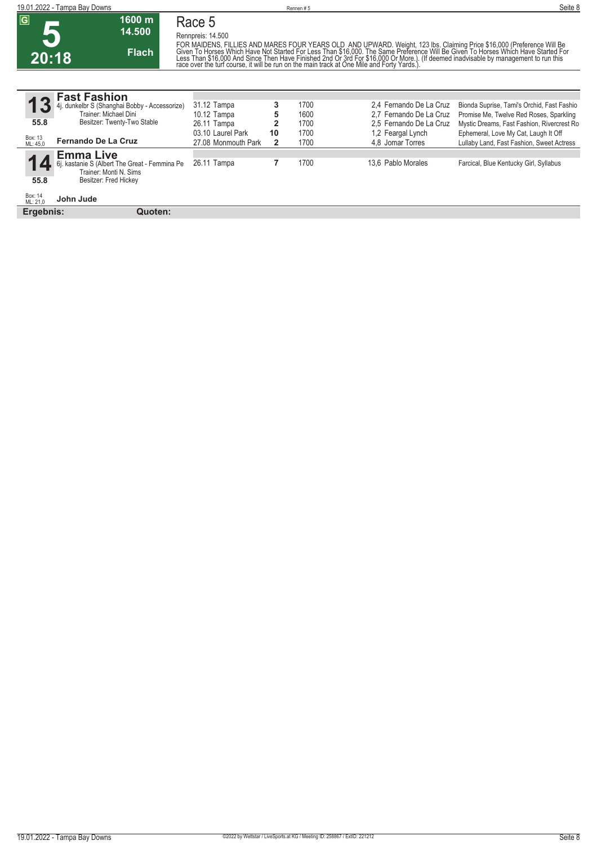| ົດ    | 1600 m<br>14.500 |
|-------|------------------|
| 20:18 | Flach            |

**Rennpreis: 14.500** FOR MAIDENS, FILLIES AND MARES FOUR YEARS OLD AND UPWARD. Weight, 123 lbs. Claiming Price \$16,000 (Preference Will Be<br>Given To Horses Which Have Not Started For Less Than \$16,000. The Same Preference Will Be Given To Hors

**13** Box: 13 ML: 45,0 **55.8 Fast Fashion** 4j. dunkelbr S (Shanghai Bobby - Accessorize) Trainer: Michael Dini Besitzer: Twenty-Two Stable **Fernando De La Cruz 3** 1700 2,4 Fernando De La Cruz Bionda Suprise, Tami's Orchid, Fast Fashio<br> **5** 1600 2,7 Fernando De La Cruz Promise Me, Twelve Red Roses, Sparkling 10.12 Tampa **5** 1600 2,7 Fernando De La Cruz Promise Me, Twelve Red Roses, Sparkling<br>1700 26.11 Tampa 2006 2,5 Fernando De La Cruz Mystic Dreams, Fast Fashion, Rivercrest Ro 26.11 Tampa **2** 1700 2,5 Fernando De La Cruz Mystic Dreams, Fast Fashion, Rivercrest Ro<br>1,2 Feargal Lynch Ephemeral, Love My Cat, Laugh It Off C9.10 03.10 Laurel Park **10** 1700 1,2 Feargal Lynch Ephemeral, Love My Cat, Laugh It Off 1700 1700 1700 18.1 A A Jomar Torres Lullaby Land, Fast Fashion, Sweet Act 2 1700 4,8 Jomar Torres Lullaby Land, Fast Fashion, Sweet Actress **14** Box: 14 ML: 21,0 **55.8 Emma Live** 6j. kastanie S (Albert The Great - Femmina Pe Trainer: Monti N. Sims Besitzer: Fred Hickey **John Jude** 7 1700 13,6 Pablo Morales Farcical, Blue Kentucky Girl, Syllabus

**Ergebnis: Quoten:**

**Race 5**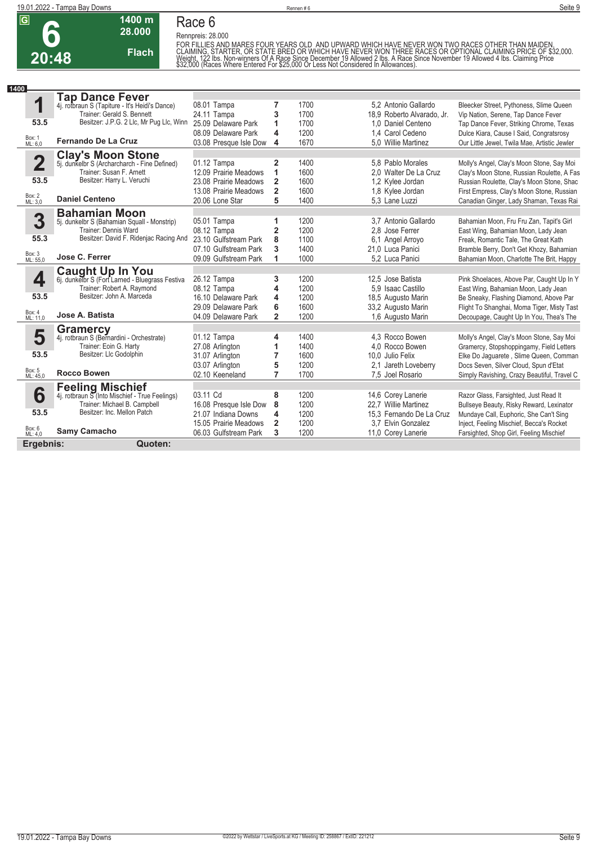

**1400 m 28.000** 

**Flach**

**Rennpreis: 28.000**

FOR FILLIES AND MARES FOUR YEARS OLD AND UPWARD WHICH HAVE NEVER WON TWO RACES OTHER THAN MAIDEN.<br>CLAIMING, STARTER, OR STATE BRED OR WHICH HAVE NEVER WON THREE RACES OR OPTIONAL CLAIMING PRICE OF \$32,000.<br>Weight, 122 Ibs

| 1400 |                         |                                                                          |                        |                |              |                            |                                              |
|------|-------------------------|--------------------------------------------------------------------------|------------------------|----------------|--------------|----------------------------|----------------------------------------------|
|      |                         | <b>Tap Dance Fever</b>                                                   |                        |                |              |                            |                                              |
|      | 1                       | 4j. rotbraun S (Tapiture - It's Heidi's Dance)                           | 08.01 Tampa            | 7              | 1700         | 5.2 Antonio Gallardo       | Bleecker Street, Pythoness, Slime Queen      |
|      |                         | Trainer: Gerald S. Bennett                                               | 24.11 Tampa            | 3              | 1700         | 18,9 Roberto Alvarado, Jr. | Vip Nation, Serene, Tap Dance Fever          |
|      | 53.5                    | Besitzer: J.P.G. 2 Llc. Mr Pug Llc. Winn                                 | 25.09 Delaware Park    | 1              | 1700         | 1.0 Daniel Centeno         | Tap Dance Fever, Striking Chrome, Texas      |
|      |                         |                                                                          | 08.09 Delaware Park    | 4              | 1200         | 1,4 Carol Cedeno           | Dulce Kiara, Cause I Said, Congratsrosy      |
|      | Box: 1<br>ML: 6,0       | <b>Fernando De La Cruz</b>                                               | 03.08 Presque Isle Dow | 4              | 1670         | 5.0 Willie Martinez        | Our Little Jewel, Twila Mae, Artistic Jewler |
|      |                         |                                                                          |                        |                |              |                            |                                              |
|      | $\overline{\mathbf{2}}$ | <b>Clay's Moon Stone</b><br>5j. dunkelbr S (Archarcharch - Fine Defined) | 01.12 Tampa            | $\overline{2}$ | 1400         | 5.8 Pablo Morales          | Molly's Angel, Clay's Moon Stone, Say Moi    |
|      |                         | Trainer: Susan F. Arnett                                                 | 12.09 Prairie Meadows  | 1              | 1600         | 2.0 Walter De La Cruz      | Clay's Moon Stone, Russian Roulette, A Fas   |
|      | 53.5                    | Besitzer: Harry L. Veruchi                                               | 23.08 Prairie Meadows  | $\mathbf{2}$   | 1600         | 1,2 Kylee Jordan           | Russian Roulette, Clay's Moon Stone, Shac    |
|      |                         |                                                                          | 13.08 Prairie Meadows  | $\overline{2}$ | 1600         | 1,8 Kylee Jordan           | First Empress, Clay's Moon Stone, Russian    |
|      | Box: 2<br>ML: 3,0       | <b>Daniel Centeno</b>                                                    | 20.06 Lone Star        | 5              | 1400         | 5.3 Lane Luzzi             | Canadian Ginger, Lady Shaman, Texas Rai      |
|      |                         |                                                                          |                        |                |              |                            |                                              |
|      | 3                       | <b>Bahamian Moon</b>                                                     |                        |                |              | 3.7 Antonio Gallardo       |                                              |
|      |                         | 5j. dunkelbr S (Bahamian Squall - Monstrip)<br>Trainer: Dennis Ward      | 05.01 Tampa            | 1              | 1200<br>1200 | 2.8 Jose Ferrer            | Bahamian Moon, Fru Fru Zan, Tapit's Girl     |
|      | 55.3                    | Besitzer: David F. Ridenjac Racing And                                   | 08.12 Tampa            | 2              |              |                            | East Wing, Bahamian Moon, Lady Jean          |
|      |                         |                                                                          | 23.10 Gulfstream Park  | 8              | 1100         | 6,1 Angel Arroyo           | Freak, Romantic Tale, The Great Kath         |
|      | Box: 3<br>ML: 55,0      | Jose C. Ferrer                                                           | 07.10 Gulfstream Park  | 3              | 1400         | 21.0 Luca Panici           | Bramble Berry, Don't Get Khozy, Bahamian     |
|      |                         |                                                                          | 09.09 Gulfstream Park  | 1              | 1000         | 5,2 Luca Panici            | Bahamian Moon, Charlotte The Brit, Happy     |
|      |                         | <b>Caught Up In You</b>                                                  |                        |                |              |                            |                                              |
|      | 4                       | 6j. dunkelbr S (Fort Larned - Bluegrass Festiva                          | 26.12 Tampa            | 3              | 1200         | 12,5 Jose Batista          | Pink Shoelaces, Above Par, Caught Up In Y    |
|      |                         | Trainer: Robert A. Raymond                                               | 08.12 Tampa            | 4              | 1200         | 5.9 Isaac Castillo         | East Wing, Bahamian Moon, Lady Jean          |
|      | 53.5                    | Besitzer: John A. Marceda                                                | 16.10 Delaware Park    | 4              | 1200         | 18,5 Augusto Marin         | Be Sneaky, Flashing Diamond, Above Par       |
|      |                         |                                                                          | 29.09 Delaware Park    | 6              | 1600         | 33,2 Augusto Marin         | Flight To Shanghai, Moma Tiger, Misty Tast   |
|      | Box: 4<br>ML: 11,0      | Jose A. Batista                                                          | 04.09 Delaware Park    | $\overline{2}$ | 1200         | 1,6 Augusto Marin          | Decoupage, Caught Up In You, Thea's The      |
|      |                         | <b>Gramercy</b>                                                          |                        |                |              |                            |                                              |
|      | 5                       | 4j. rotbraun S (Bernardini - Orchestrate)                                | 01.12 Tampa            | 4              | 1400         | 4.3 Rocco Bowen            | Molly's Angel, Clay's Moon Stone, Say Moi    |
|      |                         | Trainer: Eoin G. Harty                                                   | 27.08 Arlington        | 1              | 1400         | 4.0 Rocco Bowen            | Gramercy, Stopshoppingamy, Field Letters     |
|      | 53.5                    | Besitzer: Llc Godolphin                                                  | 31.07 Arlington        | $\overline{7}$ | 1600         | 10.0 Julio Felix           | Elke Do Jaguarete, Slime Queen, Comman       |
|      |                         |                                                                          | 03.07 Arlington        | 5              | 1200         | 2.1 Jareth Loveberry       | Docs Seven, Silver Cloud, Spun d'Etat        |
|      | Box: 5<br>ML: 45,0      | <b>Rocco Bowen</b>                                                       | 02.10 Keeneland        | $\overline{7}$ | 1700         | 7.5 Joel Rosario           | Simply Ravishing, Crazy Beautiful, Travel C  |
|      |                         | <b>Feeling Mischief</b>                                                  |                        |                |              |                            |                                              |
|      | 6                       | 4j. rotbraun S (Into Mischief - True Feelings)                           | 03.11 Cd               | 8              | 1200         | 14,6 Corey Lanerie         | Razor Glass, Farsighted, Just Read It        |
|      |                         | Trainer: Michael B. Campbell                                             | 16.08 Presque Isle Dow | 8              | 1200         | 22.7 Willie Martinez       | Bullseye Beauty, Risky Reward, Lexinator     |
|      | 53.5                    | Besitzer: Inc. Mellon Patch                                              | 21.07 Indiana Downs    | 4              | 1200         | 15.3 Fernando De La Cruz   | Mundaye Call, Euphoric, She Can't Sing       |
|      |                         |                                                                          | 15.05 Prairie Meadows  | $\mathbf{2}$   | 1200         | 3.7 Elvin Gonzalez         | Inject, Feeling Mischief, Becca's Rocket     |
|      | Box: 6<br>ML: 4,0       | <b>Samy Camacho</b>                                                      | 06.03 Gulfstream Park  | 3              | 1200         | 11,0 Corey Lanerie         | Farsighted, Shop Girl, Feeling Mischief      |
|      | Ergebnis:               | Quoten:                                                                  |                        |                |              |                            |                                              |
|      |                         |                                                                          |                        |                |              |                            |                                              |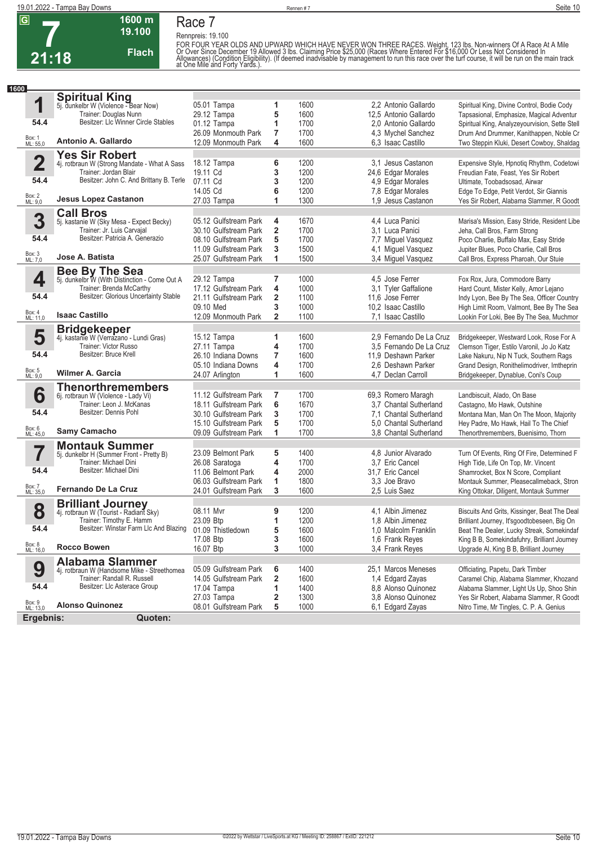

**Rennpreis: 19.100**

**Flach**

**1600 m 19.100** 

FOR FOUR YEAR OLDS AND UPWARD WHICH HAVE NEVER WON THREE RACES. Weight, 123 lbs. Non-winners Of A Race At A Mile<br>Or Over Since December 19 Allowed 3 lbs. Claiming Price \$25,000 (Races Where Entered For \$16,000 Or Less Not

| 1600               |                                                                            |                       |                         |      |                         |                                                |
|--------------------|----------------------------------------------------------------------------|-----------------------|-------------------------|------|-------------------------|------------------------------------------------|
|                    | <b>Spiritual King</b>                                                      |                       |                         |      |                         |                                                |
| 1                  | 5j. dunkelbr W (Violence - Bear Now)                                       | 05.01 Tampa           | 1                       | 1600 | 2.2 Antonio Gallardo    | Spiritual King, Divine Control, Bodie Cody     |
|                    | Trainer: Douglas Nunn                                                      | 29.12 Tampa           | 5                       | 1600 | 12,5 Antonio Gallardo   | Tapsasional, Emphasize, Magical Adventur       |
| 54.4               | Besitzer: LIc Winner Circle Stables                                        | $01.12$ Tampa         | 1                       | 1700 | 2.0 Antonio Gallardo    | Spiritual King, Analyzeyourvision, Sette Stell |
|                    |                                                                            | 26.09 Monmouth Park   | 7                       | 1700 | 4,3 Mychel Sanchez      | Drum And Drummer, Kanithappen, Noble Cr        |
| Box: 1<br>ML: 55,0 | Antonio A. Gallardo                                                        | 12.09 Monmouth Park   | 4                       | 1600 | 6.3 Isaac Castillo      | Two Steppin Kluki, Desert Cowboy, Shaldag      |
|                    |                                                                            |                       |                         |      |                         |                                                |
| $\mathbf 2$        | <b>Yes Sir Robert</b>                                                      | 18.12 Tampa           | 6                       | 1200 | 3.1 Jesus Castanon      | Expensive Style, Hpnotiq Rhythm, Codetowi      |
|                    | 4j. rotbraun W (Strong Mandate - What A Sass<br>Trainer: Jordan Blair      | 19.11 Cd              | 3                       | 1200 | 24,6 Edgar Morales      | Freudian Fate, Feast, Yes Sir Robert           |
| 54.4               | Besitzer: John C. And Brittany B. Terle                                    | 07.11 Cd              | 3                       | 1200 |                         |                                                |
|                    |                                                                            |                       |                         |      | 4,9 Edgar Morales       | Ultimate, Toobadsosad, Airwar                  |
| Box: 2<br>ML: 9,0  | <b>Jesus Lopez Castanon</b>                                                | 14.05 Cd              | 6                       | 1200 | 7,8 Edgar Morales       | Edge To Edge, Petit Verdot, Sir Giannis        |
|                    |                                                                            | 27.03 Tampa           | 1                       | 1300 | 1.9 Jesus Castanon      | Yes Sir Robert, Alabama Slammer, R Goodt       |
|                    | <b>Call Bros</b>                                                           |                       |                         |      |                         |                                                |
| 3                  | 5j. kastanie W (Sky Mesa - Expect Becky)                                   | 05.12 Gulfstream Park | 4                       | 1670 | 4.4 Luca Panici         | Marisa's Mission, Easy Stride, Resident Libe   |
|                    | Trainer: Jr. Luis Carvajal                                                 | 30.10 Gulfstream Park | 2                       | 1700 | 3.1 Luca Panici         | Jeha, Call Bros, Farm Strong                   |
| 54.4               | Besitzer: Patricia A. Generazio                                            | 08.10 Gulfstream Park | 5                       | 1700 | 7,7 Miguel Vasquez      | Poco Charlie, Buffalo Max, Easy Stride         |
|                    |                                                                            | 11.09 Gulfstream Park | 3                       | 1500 | 4,1 Miguel Vasquez      | Jupiter Blues, Poco Charlie, Call Bros         |
| Box: 3<br>ML: 7,0  | Jose A. Batista                                                            | 25.07 Gulfstream Park | 1                       | 1500 | 3,4 Miguel Vasquez      | Call Bros, Express Pharoah, Our Stuie          |
|                    | <b>Bee By The Sea</b>                                                      |                       |                         |      |                         |                                                |
| 4                  | 5j. dunkelbr W (With Distinction - Come Out A                              | 29.12 Tampa           | 7                       | 1000 | 4.5 Jose Ferrer         | Fox Rox, Jura, Commodore Barry                 |
|                    | Trainer: Brenda McCarthy                                                   | 17.12 Gulfstream Park | 4                       | 1000 | 3,1 Tyler Gaffalione    | Hard Count, Mister Kelly, Amor Lejano          |
| 54.4               | Besitzer: Glorious Uncertainty Stable                                      | 21.11 Gulfstream Park | $\overline{\mathbf{2}}$ | 1100 | 11.6 Jose Ferrer        | Indy Lyon, Bee By The Sea, Officer Country     |
|                    |                                                                            | 09.10 Med             | 3                       | 1000 | 10.2 Isaac Castillo     | High Limit Room, Valmont, Bee By The Sea       |
| Box: 4<br>ML: 11,0 | <b>Isaac Castillo</b>                                                      | 12.09 Monmouth Park   | $\overline{\mathbf{2}}$ | 1100 | 7.1 Isaac Castillo      | Lookin For Loki, Bee By The Sea, Muchmor       |
|                    |                                                                            |                       |                         |      |                         |                                                |
|                    | <b>Bridgekeeper</b>                                                        |                       |                         |      |                         |                                                |
| 5                  | 4j. kastanie W (Verrazano - Lundi Gras)                                    | 15.12 Tampa           | 1                       | 1600 | 2,9 Fernando De La Cruz | Bridgekeeper, Westward Look, Rose For A        |
| 54.4               | Trainer: Victor Russo<br>Besitzer: Bruce Krell                             | 27.11 Tampa           | 4                       | 1700 | 3.5 Fernando De La Cruz | Clemson Tiger, Estilo Varonil, Jo Jo Katz      |
|                    |                                                                            | 26.10 Indiana Downs   | 7                       | 1600 | 11,9 Deshawn Parker     | Lake Nakuru, Nip N Tuck, Southern Rags         |
|                    |                                                                            | 05.10 Indiana Downs   | 4                       | 1700 | 2.6 Deshawn Parker      | Grand Design, Ronithelimodriver, Imtheprin     |
| Box: 5<br>ML: 9,0  | Wilmer A. Garcia                                                           | 24.07 Arlington       | 1                       | 1600 | 4,7 Declan Carroll      | Bridgekeeper, Dynablue, Coni's Coup            |
|                    | <b>Thenorthremembers</b>                                                   |                       |                         |      |                         |                                                |
| 6                  | 6j. rotbraun W (Violence - Lady Vi)                                        | 11.12 Gulfstream Park | 7                       | 1700 | 69,3 Romero Maragh      | Landbiscuit, Alado, On Base                    |
|                    | Trainer: Leon J. McKanas                                                   | 18.11 Gulfstream Park | 6                       | 1670 | 3.7 Chantal Sutherland  | Castagno, Mo Hawk, Outshine                    |
| 54.4               | Besitzer: Dennis Pohl                                                      | 30.10 Gulfstream Park | 3                       | 1700 | 7.1 Chantal Sutherland  | Montana Man, Man On The Moon, Majority         |
|                    |                                                                            | 15.10 Gulfstream Park | 5                       | 1700 | 5.0 Chantal Sutherland  | Hey Padre, Mo Hawk, Hail To The Chief          |
| Box: 6<br>ML: 45,0 | <b>Samy Camacho</b>                                                        | 09.09 Gulfstream Park | 1                       | 1700 | 3.8 Chantal Sutherland  | Thenorthremembers, Buenisimo, Thorn            |
|                    | <b>Montauk Summer</b>                                                      |                       |                         |      |                         |                                                |
| 7                  | 5j. dunkelbr H (Summer Front - Pretty B)                                   | 23.09 Belmont Park    | 5                       | 1400 | 4,8 Junior Alvarado     | Turn Of Events, Ring Of Fire, Determined F     |
|                    | Trainer: Michael Dini                                                      | 26.08 Saratoga        | 4                       | 1700 | 3.7 Eric Cancel         | High Tide, Life On Top, Mr. Vincent            |
| 54.4               | Besitzer: Michael Dini                                                     | 11.06 Belmont Park    | 4                       | 2000 | 31,7 Eric Cancel        | Shamrocket, Box N Score, Compliant             |
|                    |                                                                            | 06.03 Gulfstream Park | 1                       | 1800 | 3.3 Joe Bravo           | Montauk Summer, Pleasecallmeback, Stron        |
| Box: 7<br>ML: 35,0 | Fernando De La Cruz                                                        | 24.01 Gulfstream Park | 3                       | 1600 | 2,5 Luis Saez           | King Ottokar, Diligent, Montauk Summer         |
|                    | <b>Brilliant Journey</b>                                                   |                       |                         |      |                         |                                                |
| 8                  | 4j. rotbraun W (Tourist - Radiant Sky)                                     | 08.11 Mvr             | 9                       | 1200 | 4,1 Albin Jimenez       | Biscuits And Grits, Kissinger, Beat The Deal   |
|                    | Trainer: Timothy E. Hamm                                                   | 23.09 Btp             | 1                       | 1200 | 1.8 Albin Jimenez       | Brilliant Journey, It'sgoodtobeseen, Big On    |
| 54.4               | Besitzer: Winstar Farm Llc And Blazing                                     | 01.09 Thistledown     | 5                       | 1600 | 1.0 Malcolm Franklin    | Beat The Dealer, Lucky Streak, Somekindaf      |
|                    |                                                                            | 17.08 Btp             | 3                       | 1600 | 1,6 Frank Reyes         | King B B, Somekindafuhry, Brilliant Journey    |
| Box: 8<br>ML: 16,0 | <b>Rocco Bowen</b>                                                         | 16.07 Btp             | 3                       | 1000 | 3.4 Frank Reyes         | Upgrade Al, King B B, Brilliant Journey        |
|                    |                                                                            |                       |                         |      |                         |                                                |
|                    | <b>Alabama Slammer</b>                                                     | 05.09 Gulfstream Park |                         | 1400 | 25.1 Marcos Meneses     |                                                |
| 9                  | 4j. rotbraun W (Handsome Mike - Streethomea<br>Trainer: Randall R. Russell |                       | 6                       |      |                         | Officiating, Papetu, Dark Timber               |
| 54.4               | Besitzer: Llc Asterace Group                                               | 14.05 Gulfstream Park | 2                       | 1600 | 1,4 Edgard Zayas        | Caramel Chip, Alabama Slammer, Khozand         |
|                    |                                                                            | 17.04 Tampa           | 1                       | 1400 | 8,8 Alonso Quinonez     | Alabama Slammer, Light Us Up, Shoo Shin        |
| Box: 9<br>ML: 13,0 | <b>Alonso Quinonez</b>                                                     | 27.03 Tampa           | 2                       | 1300 | 3.8 Alonso Quinonez     | Yes Sir Robert, Alabama Slammer, R Goodt       |
|                    |                                                                            | 08.01 Gulfstream Park | 5                       | 1000 | 6,1 Edgard Zayas        | Nitro Time, Mr Tingles, C. P. A. Genius        |
| Ergebnis:          | Quoten:                                                                    |                       |                         |      |                         |                                                |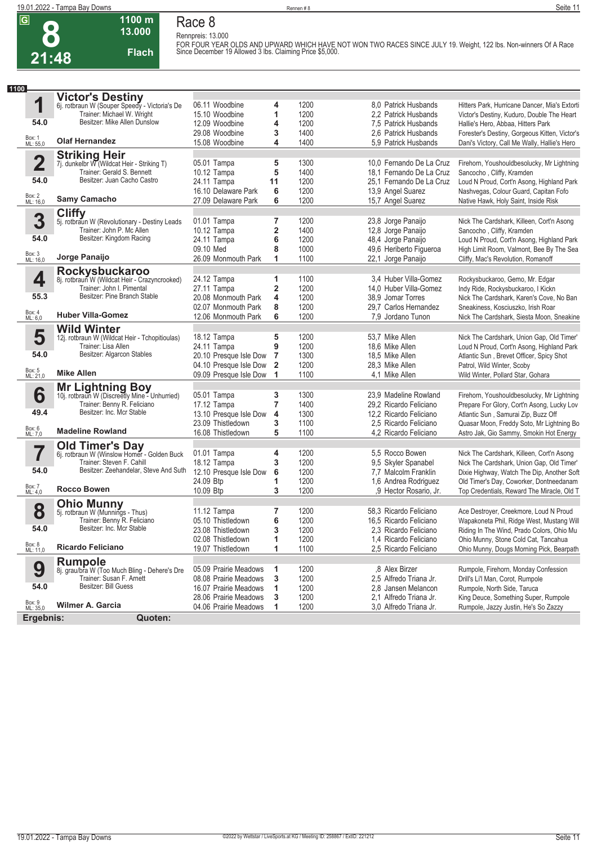**8 21:48**

#### **1100 m 13.000 Flach Race 8 Rennpreis: 13.000**

**FOR FOUR YEAR OLDS AND UPWARD WHICH HAVE NOT WON TWO RACES SINCE JULY 19. Weight, 122 lbs. Non-winners Of A Race Since December 19 Allowed 3 lbs. Claiming Price \$5,000.** 

| 1100                    |                                                                    |                                  |                         |              |                          |                                                                                   |
|-------------------------|--------------------------------------------------------------------|----------------------------------|-------------------------|--------------|--------------------------|-----------------------------------------------------------------------------------|
|                         | <b>Victor's Destiny</b>                                            |                                  |                         |              |                          |                                                                                   |
| 1                       | 6j. rotbraun W (Souper Speedy - Victoria's De                      | 06.11 Woodbine                   | 4                       | 1200         | 8.0 Patrick Husbands     | Hitters Park, Hurricane Dancer, Mia's Extorti                                     |
|                         | Trainer: Michael W. Wright                                         | 15.10 Woodbine                   | 1                       | 1200         | 2.2 Patrick Husbands     | Victor's Destiny, Kuduro, Double The Heart                                        |
| 54.0                    | Besitzer: Mike Allen Dunslow                                       | 12.09 Woodbine                   | 4                       | 1200         | 7.5 Patrick Husbands     | Hallie's Hero, Abbaa, Hitters Park                                                |
|                         |                                                                    | 29.08 Woodbine                   | 3                       | 1400         | 2.6 Patrick Husbands     | Forester's Destiny, Gorgeous Kitten, Victor's                                     |
| Box: 1<br>ML: 55,0      | <b>Olaf Hernandez</b>                                              | 15.08 Woodbine                   | 4                       | 1400         | 5,9 Patrick Husbands     | Dani's Victory, Call Me Wally, Hallie's Hero                                      |
|                         |                                                                    |                                  |                         |              |                          |                                                                                   |
| $\overline{\mathbf{2}}$ | Striking Heir<br>7j. dunkelbr W (Wildcat Heir - Striking T)        | 05.01 Tampa                      | 5                       | 1300         | 10,0 Fernando De La Cruz | Firehorn, Youshouldbesolucky, Mr Lightning                                        |
|                         | Trainer: Gerald S. Bennett                                         | 10.12 Tampa                      | 5                       | 1400         | 18.1 Fernando De La Cruz | Sancocho, Cliffy, Kramden                                                         |
| 54.0                    | Besitzer: Juan Cacho Castro                                        | 24.11 Tampa                      | 11                      | 1200         | 25.1 Fernando De La Cruz | Loud N Proud, Cort'n Asong, Highland Park                                         |
|                         |                                                                    | 16.10 Delaware Park              | 6                       | 1200         | 13,9 Angel Suarez        | Nashvegas, Colour Guard, Capitan Fofo                                             |
| Box: 2<br>ML: 16,0      | <b>Samy Camacho</b>                                                | 27.09 Delaware Park              | 6                       | 1200         | 15,7 Angel Suarez        | Native Hawk, Holy Saint, Inside Risk                                              |
|                         | <b>Cliffy</b>                                                      |                                  |                         |              |                          |                                                                                   |
| 3                       | 5j. rotbraun W (Revolutionary - Destiny Leads                      | 01.01 Tampa                      | 7                       | 1200         | 23,8 Jorge Panaijo       | Nick The Cardshark, Killeen, Cort'n Asong                                         |
|                         | Trainer: John P. Mc Allen                                          | 10.12 Tampa                      | 2                       | 1400         | 12,8 Jorge Panaijo       | Sancocho, Cliffy, Kramden                                                         |
| 54.0                    | Besitzer: Kingdom Racing                                           | 24.11 Tampa                      | 6                       | 1200         | 48,4 Jorge Panaijo       | Loud N Proud, Cort'n Asong, Highland Park                                         |
|                         |                                                                    | 09.10 Med                        | 8                       | 1000         | 49,6 Heriberto Figueroa  | High Limit Room, Valmont, Bee By The Sea                                          |
| Box: 3<br>ML: 16,0      | Jorge Panaijo                                                      | 26.09 Monmouth Park              | 1                       | 1100         | 22,1 Jorge Panaijo       | Cliffy, Mac's Revolution, Romanoff                                                |
|                         |                                                                    |                                  |                         |              |                          |                                                                                   |
| 4                       | Rockysbuckaroo<br>8j. rotbraun W (Wildcat Heir - Crazyncrooked)    | 24.12 Tampa                      | 1                       | 1100         | 3.4 Huber Villa-Gomez    | Rockysbuckaroo, Gemo, Mr. Edgar                                                   |
|                         | Trainer: John I. Pimental                                          | 27.11 Tampa                      | $\overline{\mathbf{2}}$ | 1200         | 14,0 Huber Villa-Gomez   | Indy Ride, Rockysbuckaroo, I Kickn                                                |
| 55.3                    | Besitzer: Pine Branch Stable                                       | 20.08 Monmouth Park              | 4                       | 1200         | 38,9 Jomar Torres        | Nick The Cardshark, Karen's Cove, No Ban                                          |
|                         |                                                                    | 02.07 Monmouth Park              | 8                       | 1200         | 29.7 Carlos Hernandez    | Sneakiness, Kosciuszko, Irish Roar                                                |
| Box: 4<br>ML: 6,0       | <b>Huber Villa-Gomez</b>                                           | 12.06 Monmouth Park              | 6                       | 1200         | 7.9 Jordano Tunon        | Nick The Cardshark, Siesta Moon, Sneakine                                         |
|                         | <b>Wild Winter</b>                                                 |                                  |                         |              |                          |                                                                                   |
| 5                       | 12j. rotbraun W (Wildcat Heir - Tchopitioulas)                     | 18.12 Tampa                      | 5                       | 1200         | 53,7 Mike Allen          | Nick The Cardshark, Union Gap, Old Timer'                                         |
|                         | Trainer: Lisa Allen                                                | 24.11 Tampa                      | 9                       | 1200         | 18,6 Mike Allen          | Loud N Proud, Cort'n Asong, Highland Park                                         |
| 54.0                    | Besitzer: Algarcon Stables                                         | 20.10 Presque Isle Dow           | $\overline{7}$          | 1300         | 18.5 Mike Allen          | Atlantic Sun, Brevet Officer, Spicy Shot                                          |
|                         |                                                                    | 04.10 Presque Isle Dow           | $\overline{2}$          | 1200         | 28,3 Mike Allen          | Patrol, Wild Winter, Scoby                                                        |
| Box: 5<br>ML: 21,0      | <b>Mike Allen</b>                                                  | 09.09 Presque Isle Dow           | 1                       | 1100         | 4.1 Mike Allen           | Wild Winter, Pollard Star, Gohara                                                 |
|                         | Mr Lightning Boy<br>10j. rotbraun W (Discreetly Mine - Unhurried)  |                                  |                         |              |                          |                                                                                   |
| 6                       |                                                                    | 05.01 Tampa                      | 3                       | 1300         | 23,9 Madeline Rowland    | Firehorn, Youshouldbesolucky, Mr Lightning                                        |
|                         | Trainer: Benny R. Feliciano                                        | 17.12 Tampa                      | $\overline{\mathbf{r}}$ | 1400         | 29,2 Ricardo Feliciano   | Prepare For Glory, Cort'n Asong, Lucky Lov                                        |
| 49.4                    | Besitzer: Inc. Mcr Stable                                          | 13.10 Presque Isle Dow           | 4                       | 1300         | 12,2 Ricardo Feliciano   | Atlantic Sun, Samurai Zip, Buzz Off                                               |
|                         | <b>Madeline Rowland</b>                                            | 23.09 Thistledown                | 3                       | 1100         | 2,5 Ricardo Feliciano    | Quasar Moon, Freddy Soto, Mr Lightning Bo                                         |
| Box: 6<br>ML: 7,0       |                                                                    | 16.08 Thistledown                | 5                       | 1100         | 4,2 Ricardo Feliciano    | Astro Jak, Gio Sammy, Smokin Hot Energy                                           |
|                         | <b>Old Timer's Day</b>                                             |                                  |                         |              |                          |                                                                                   |
|                         | 6j. rotbraun W (Winslow Homer - Golden Buck                        | 01.01 Tampa                      | 4                       | 1200         | 5.5 Rocco Bowen          | Nick The Cardshark, Killeen, Cort'n Asong                                         |
|                         | Trainer: Steven F. Cahill<br>Besitzer: Zeehandelar, Steve And Suth | 18.12 Tampa                      | 3                       | 1200         | 9,5 Skyler Spanabel      | Nick The Cardshark, Union Gap, Old Timer'                                         |
| 54.0                    |                                                                    | 12.10 Presque Isle Dow           | 6                       | 1200         | 7,7 Malcolm Franklin     | Dixie Highway, Watch The Dip, Another Soft                                        |
| Box: 7                  | <b>Rocco Bowen</b>                                                 | 24.09 Btp<br>10.09 Btp           | 1<br>3                  | 1200<br>1200 | 1,6 Andrea Rodriguez     | Old Timer's Day, Coworker, Dontneedanam                                           |
| ML: 4,0                 |                                                                    |                                  |                         |              | ,9 Hector Rosario, Jr.   | Top Credentials, Reward The Miracle, Old T                                        |
|                         | <b>Ohio Munny</b>                                                  |                                  |                         | 1200         | 58.3 Ricardo Feliciano   |                                                                                   |
| 8                       | 5j. rotbraun W (Munnings - Thus)<br>Trainer: Benny R. Feliciano    | 11.12 Tampa<br>05.10 Thistledown | 7<br>6                  | 1200         | 16,5 Ricardo Feliciano   | Ace Destroyer, Creekmore, Loud N Proud                                            |
| 54.0                    | Besitzer: Inc. Mcr Stable                                          | 23.08 Thistledown                |                         | 1200         | 2,3 Ricardo Feliciano    | Wapakoneta Phil, Ridge West, Mustang Will                                         |
|                         |                                                                    | 02.08 Thistledown                | 3<br>1                  | 1200         | 1,4 Ricardo Feliciano    | Riding In The Wind, Prado Colors, Ohio Mu<br>Ohio Munny, Stone Cold Cat, Tancahua |
| Box: 8<br>ML: 11,0      | <b>Ricardo Feliciano</b>                                           | 19.07 Thistledown                | 1                       | 1100         | 2,5 Ricardo Feliciano    | Ohio Munny, Dougs Morning Pick, Bearpath                                          |
|                         |                                                                    |                                  |                         |              |                          |                                                                                   |
| 9                       | <b>Rumpole</b><br>8j. grau/bra W (Too Much Bling - Dehere's Dre    | 05.09 Prairie Meadows            | 1                       | 1200         | ,8 Alex Birzer           | Rumpole, Firehorn, Monday Confession                                              |
|                         | Trainer: Susan F. Arnett                                           | 08.08 Prairie Meadows            | 3                       | 1200         | 2,5 Alfredo Triana Jr.   | Drill's Li'l Man, Corot, Rumpole                                                  |
| 54.0                    | <b>Besitzer: Bill Guess</b>                                        | 16.07 Prairie Meadows            | 1                       | 1200         | 2.8 Jansen Melancon      | Rumpole, North Side, Taruca                                                       |
|                         |                                                                    | 28.06 Prairie Meadows            | 3                       | 1200         | 2.1 Alfredo Triana Jr.   | King Deuce, Something Super, Rumpole                                              |
| Box: 9<br>ML: 35,0      | <b>Wilmer A. Garcia</b>                                            | 04.06 Prairie Meadows            | 1                       | 1200         | 3.0 Alfredo Triana Jr.   | Rumpole, Jazzy Justin, He's So Zazzy                                              |
| Ergebnis:               | Quoten:                                                            |                                  |                         |              |                          |                                                                                   |
|                         |                                                                    |                                  |                         |              |                          |                                                                                   |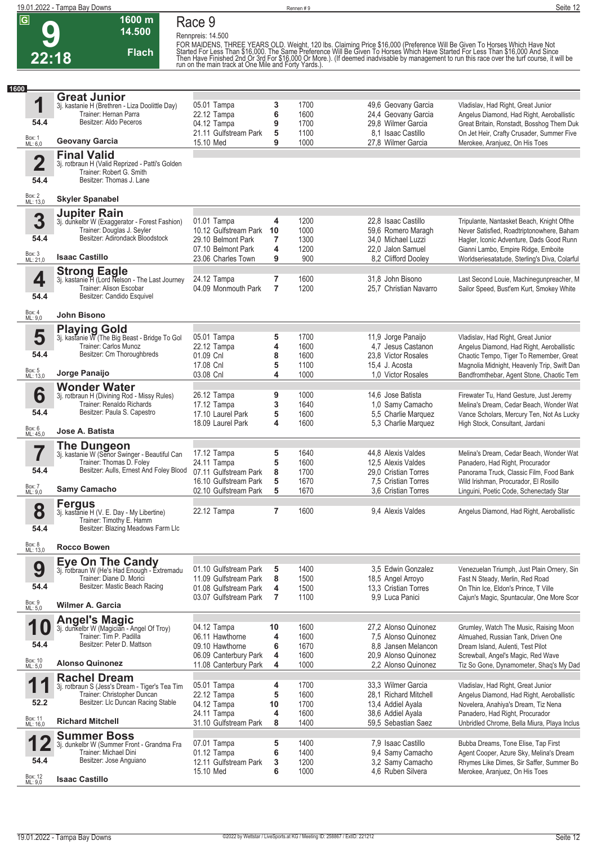## **9 22:18**

**Race 9**

**Rennpreis: 14.500**

**Flach**

**1600 m 14.500** 

FOR MAIDENS, THREE YEARS OLD. Weight, 120 lbs. Claiming Price \$16,000 (Preference Will Be Given To Horses Which Have Not<br>Started For Less Than \$16,000. The Same Preference Will Be Given To Horses Which Have Started For Les

| 1600                    |                                                                             |                                                |                |              |                                            |                                                                                        |
|-------------------------|-----------------------------------------------------------------------------|------------------------------------------------|----------------|--------------|--------------------------------------------|----------------------------------------------------------------------------------------|
|                         | <b>Great Junior</b>                                                         |                                                |                |              |                                            |                                                                                        |
| 1                       | 3j. kastanie H (Brethren - Liza Doolittle Day)                              | 05.01 Tampa                                    | 3              | 1700         | 49,6 Geovany Garcia                        | Vladislav, Had Right, Great Junior                                                     |
| 54.4                    | Trainer: Hernan Parra<br>Besitzer: Aldo Peceros                             | 22.12 Tampa                                    | 6              | 1600         | 24,4 Geovany Garcia                        | Angelus Diamond, Had Right, Aeroballistic                                              |
|                         |                                                                             | 04.12 Tampa                                    | 9              | 1700         | 29.8 Wilmer Garcia                         | Great Britain, Ronstadt, Bosshog Them Duk                                              |
| Box: 1<br>ML: 6,0       | <b>Geovany Garcia</b>                                                       | 21.11 Gulfstream Park                          | 5<br>9         | 1100         | 8.1 Isaac Castillo                         | On Jet Heir, Crafty Crusader, Summer Five                                              |
|                         |                                                                             | 15.10 Med                                      |                | 1000         | 27,8 Wilmer Garcia                         | Merokee, Aranjuez, On His Toes                                                         |
|                         | <b>Final Valid</b>                                                          |                                                |                |              |                                            |                                                                                        |
| $\overline{\mathbf{2}}$ | 3j. rotbraun H (Valid Reprized - Patti's Golden<br>Trainer: Robert G. Smith |                                                |                |              |                                            |                                                                                        |
| 54.4                    | Besitzer: Thomas J. Lane                                                    |                                                |                |              |                                            |                                                                                        |
|                         |                                                                             |                                                |                |              |                                            |                                                                                        |
| Box: 2<br>ML: 13,0      | <b>Skyler Spanabel</b>                                                      |                                                |                |              |                                            |                                                                                        |
|                         |                                                                             |                                                |                |              |                                            |                                                                                        |
| 3                       | <b>Jupiter Rain</b>                                                         | 01.01 Tampa                                    | 4              | 1200         | 22.8 Isaac Castillo                        |                                                                                        |
|                         | 3j. dunkelbr W (Exaggerator - Forest Fashion)<br>Trainer: Douglas J. Seyler | 10.12 Gulfstream Park                          | 10             | 1000         | 59,6 Romero Maragh                         | Tripulante, Nantasket Beach, Knight Ofthe<br>Never Satisfied, Roadtriptonowhere, Baham |
| 54.4                    | Besitzer: Adirondack Bloodstock                                             | 29.10 Belmont Park                             | $\overline{7}$ | 1300         | 34,0 Michael Luzzi                         | Hagler, Iconic Adventure, Dads Good Runn                                               |
|                         |                                                                             | 07.10 Belmont Park                             | 4              | 1200         | 22,0 Jalon Samuel                          | Gianni Lambo, Empire Ridge, Emboite                                                    |
| Box: 3<br>ML: 21,0      | <b>Isaac Castillo</b>                                                       | 23.06 Charles Town                             | 9              | 900          | 8,2 Clifford Dooley                        | Worldseriesatatude, Sterling's Diva, Colarful                                          |
|                         |                                                                             |                                                |                |              |                                            |                                                                                        |
| 4                       | <b>Strong Eagle</b><br>3j. kastanie H (Lord Nelson - The Last Journey       | 24.12 Tampa                                    | $\overline{7}$ | 1600         | 31.8 John Bisono                           | Last Second Louie, Machinegunpreacher, M                                               |
|                         | Trainer: Alison Escobar                                                     | 04.09 Monmouth Park                            | $\overline{7}$ | 1200         | 25,7 Christian Navarro                     | Sailor Speed, Bust'em Kurt, Smokey White                                               |
| 54.4                    | Besitzer: Candido Esquivel                                                  |                                                |                |              |                                            |                                                                                        |
|                         |                                                                             |                                                |                |              |                                            |                                                                                        |
| Box: 4<br>ML: 9,0       | <b>John Bisono</b>                                                          |                                                |                |              |                                            |                                                                                        |
|                         |                                                                             |                                                |                |              |                                            |                                                                                        |
| 5                       | Playing Gold<br>3j. kastanie W (The Big Beast - Bridge To Gol               | 05.01 Tampa                                    | 5              | 1700         | 11,9 Jorge Panaijo                         | Vladislav, Had Right, Great Junior                                                     |
|                         | Trainer: Carlos Munoz                                                       | 22.12 Tampa                                    | 4              | 1600         | 4,7 Jesus Castanon                         | Angelus Diamond, Had Right, Aeroballistic                                              |
| 54.4                    | Besitzer: Cm Thoroughbreds                                                  | 01.09 Cnl                                      | 8              | 1600         | 23,8 Victor Rosales                        | Chaotic Tempo, Tiger To Remember, Great                                                |
|                         |                                                                             | 17.08 Cnl                                      | 5              | 1100         | 15,4 J. Acosta                             | Magnolia Midnight, Heavenly Trip, Swift Dan                                            |
| Box: 5<br>ML: 13,0      | Jorge Panaijo                                                               | 03.08 Cnl                                      | 4              | 1000         | 1.0 Victor Rosales                         | Bandfromthebar, Agent Stone, Chaotic Tem                                               |
|                         | <b>Wonder Water</b>                                                         |                                                |                |              |                                            |                                                                                        |
| 6                       | 3j. rotbraun H (Divining Rod - Missy Rules)                                 | 26.12 Tampa                                    | 9              | 1000         | 14,6 Jose Batista                          | Firewater Tu, Hand Gesture, Just Jeremy                                                |
|                         | Trainer: Renaldo Richards                                                   | 17.12 Tampa                                    | 3              | 1640         | 1,0 Samy Camacho                           | Melina's Dream, Cedar Beach, Wonder Wat                                                |
| 54.4                    | Besitzer: Paula S. Capestro                                                 | 17.10 Laurel Park                              | 5              | 1600         | 5,5 Charlie Marquez                        | Vance Scholars, Mercury Ten, Not As Lucky                                              |
|                         |                                                                             | 18.09 Laurel Park                              | 4              | 1600         | 5,3 Charlie Marquez                        | High Stock, Consultant, Jardani                                                        |
| Box: 6<br>ML: 45,0      | Jose A. Batista                                                             |                                                |                |              |                                            |                                                                                        |
|                         | The Dungeon                                                                 |                                                |                |              |                                            |                                                                                        |
|                         | 3j. kastanie W (Senor Swinger - Beautiful Can                               | 17.12 Tampa                                    | 5              | 1640         | 44,8 Alexis Valdes                         | Melina's Dream, Cedar Beach, Wonder Wat                                                |
| 54.4                    | Trainer: Thomas D. Foley<br>Besitzer: Aulls, Ernest And Foley Blood         | 24.11 Tampa                                    | 5              | 1600         | 12,5 Alexis Valdes                         | Panadero, Had Right, Procurador                                                        |
|                         |                                                                             | 07.11 Gulfstream Park<br>16.10 Gulfstream Park | 8<br>5         | 1700<br>1670 | 29,0 Cristian Torres                       | Panorama Truck, Classic Film, Food Bank                                                |
| Box: 7<br>ML: 9,0       | <b>Samy Camacho</b>                                                         | 02.10 Gulfstream Park                          | 5              | 1670         | 7.5 Cristian Torres<br>3.6 Cristian Torres | Wild Irishman, Procurador, El Rosillo<br>Linguini, Poetic Code, Schenectady Star       |
|                         |                                                                             |                                                |                |              |                                            |                                                                                        |
|                         | <b>Fergus</b>                                                               |                                                | 7              | 1600         |                                            |                                                                                        |
| 8                       | 3j. kastanie H (V. E. Day - My Libertine)<br>Trainer: Timothy E. Hamm       | 22.12 Tampa                                    |                |              | 9.4 Alexis Valdes                          | Angelus Diamond, Had Right, Aeroballistic                                              |
| 54.4                    | Besitzer: Blazing Meadows Farm Llc                                          |                                                |                |              |                                            |                                                                                        |
|                         |                                                                             |                                                |                |              |                                            |                                                                                        |
| Box: 8<br>ML: 13,0      | <b>Rocco Bowen</b>                                                          |                                                |                |              |                                            |                                                                                        |
|                         |                                                                             |                                                |                |              |                                            |                                                                                        |
| 9                       | <b>Eye On The Candy</b><br>3j. rotbraun W (He's Had Enough - Extremadu      | 01.10 Gulfstream Park                          | 5              | 1400         | 3,5 Edwin Gonzalez                         | Venezuelan Triumph, Just Plain Ornery, Sin                                             |
|                         | Trainer: Diane D. Morici                                                    | 11.09 Gulfstream Park                          | 8              | 1500         | 18,5 Angel Arroyo                          | Fast N Steady, Merlin, Red Road                                                        |
| 54.4                    | Besitzer: Mastic Beach Racing                                               | 01.08 Gulfstream Park                          | 4              | 1500         | 13,3 Cristian Torres                       | On Thin Ice. Eldon's Prince. T Ville                                                   |
|                         |                                                                             | 03.07 Gulfstream Park                          | $\overline{7}$ | 1100         | 9.9 Luca Panici                            | Cajun's Magic, Spuntacular, One More Scor                                              |
| Box: 9<br>ML: 5,0       | <b>Wilmer A. Garcia</b>                                                     |                                                |                |              |                                            |                                                                                        |
|                         | <b>Angel's Magic</b>                                                        |                                                |                |              |                                            |                                                                                        |
| 10                      | 3j. dunkelbr W (Magician - Angel Of Troy)                                   | 04.12 Tampa                                    | 10             | 1600         | 27,2 Alonso Quinonez                       | Grumley, Watch The Music, Raising Moon                                                 |
|                         | Trainer: Tim P. Padilla                                                     | 06.11 Hawthorne                                | 4              | 1600         | 7.5 Alonso Quinonez                        | Almuahed, Russian Tank, Driven One                                                     |
| 54.4                    | Besitzer: Peter D. Mattson                                                  | 09.10 Hawthorne                                | 6              | 1670         | 8.8 Jansen Melancon                        | Dream Island, Aulenti, Test Pilot                                                      |
|                         |                                                                             | 06.09 Canterbury Park                          | 4              | 1600         | 20.9 Alonso Quinonez                       | Screwball, Angel's Magic, Red Wave                                                     |
| Box: 10<br>ML: 5,0      | <b>Alonso Quinonez</b>                                                      | 11.08 Canterbury Park                          | 4              | 1000         | 2,2 Alonso Quinonez                        | Tiz So Gone, Dynamometer, Shaq's My Dad                                                |
|                         | <b>Rachel Dream</b>                                                         |                                                |                |              |                                            |                                                                                        |
| 1<br>ш                  | 3j. rotbraun S (Jess's Dream - Tiger's Tea Tim                              | 05.01 Tampa                                    | 4              | 1700         | 33,3 Wilmer Garcia                         | Vladislav, Had Right, Great Junior                                                     |
|                         | Trainer: Christopher Duncan                                                 | 22.12 Tampa                                    | 5              | 1600         | 28.1 Richard Mitchell                      | Angelus Diamond, Had Right, Aeroballistic                                              |
| 52.2                    | Besitzer: LIc Duncan Racing Stable                                          | 04.12 Tampa                                    | 10             | 1700         | 13,4 Addiel Ayala                          | Novelera, Anahiya's Dream, Tiz Nena                                                    |
| Box: 11                 | <b>Richard Mitchell</b>                                                     | 24.11 Tampa                                    | 4              | 1600         | 38,6 Addiel Ayala                          | Panadero, Had Right, Procurador                                                        |
| ML: 16,0                |                                                                             | 31.10 Gulfstream Park                          | 8              | 1400         | 59,5 Sebastian Saez                        | Unbridled Chrome, Bella Miura, Playa Inclus                                            |
|                         | <b>Summer Boss</b>                                                          |                                                |                |              |                                            |                                                                                        |
|                         | 3j. dunkelbr W (Summer Front - Grandma Fra                                  | 07.01 Tampa                                    | 5              | 1400         | 7,9 Isaac Castillo                         | Bubba Dreams, Tone Elise, Tap First                                                    |
| 54.4                    | Trainer: Michael Dini<br>Besitzer: Jose Anguiano                            | 01.12 Tampa                                    | 6              | 1400         | 9,4 Samy Camacho                           | Agent Cooper, Azure Sky, Melina's Dream                                                |
|                         |                                                                             | 12.11 Gulfstream Park<br>15.10 Med             | 3<br>6         | 1200<br>1000 | 3,2 Samy Camacho<br>4,6 Ruben Silvera      | Rhymes Like Dimes, Sir Saffer, Summer Bo<br>Merokee, Aranjuez, On His Toes             |
| Box: 12<br>ML: 9,0      | <b>Isaac Castillo</b>                                                       |                                                |                |              |                                            |                                                                                        |
|                         |                                                                             |                                                |                |              |                                            |                                                                                        |